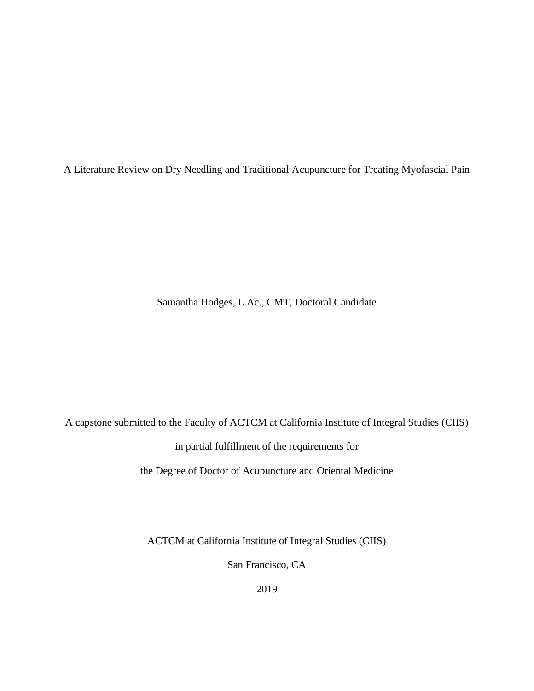A Literature Review on Dry Needling and Traditional Acupuncture for Treating Myofascial Pain

Samantha Hodges, L.Ac., CMT, Doctoral Candidate

A capstone submitted to the Faculty of ACTCM at California Institute of Integral Studies (CIIS)

in partial fulfillment of the requirements for

the Degree of Doctor of Acupuncture and Oriental Medicine

ACTCM at California Institute of Integral Studies (CIIS)

San Francisco, CA

2019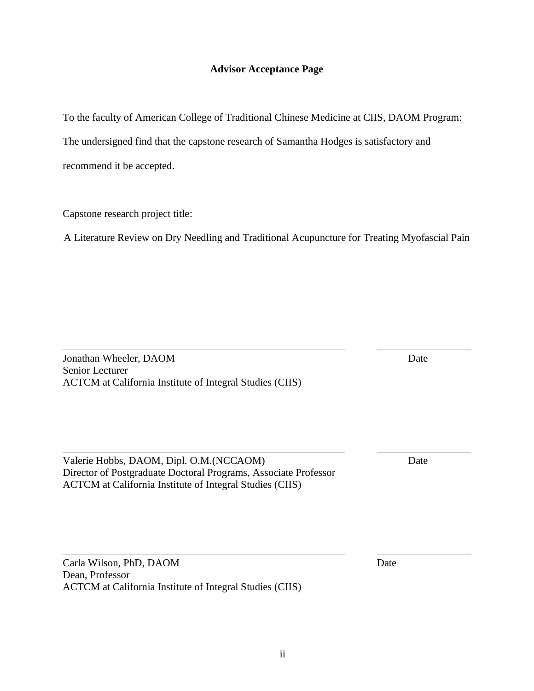# **Advisor Acceptance Page**

To the faculty of American College of Traditional Chinese Medicine at CIIS, DAOM Program:

The undersigned find that the capstone research of Samantha Hodges is satisfactory and

recommend it be accepted.

Dean, Professor

Capstone research project title:

A Literature Review on Dry Needling and Traditional Acupuncture for Treating Myofascial Pain

**Jonathan Wheeler, DAOM** Date Senior Lecturer ACTCM at California Institute of Integral Studies (CIIS)

Valerie Hobbs, DAOM, Dipl. O.M.(NCCAOM) Date Director of Postgraduate Doctoral Programs, Associate Professor ACTCM at California Institute of Integral Studies (CIIS)

ACTCM at California Institute of Integral Studies (CIIS)

Carla Wilson, PhD, DAOM Date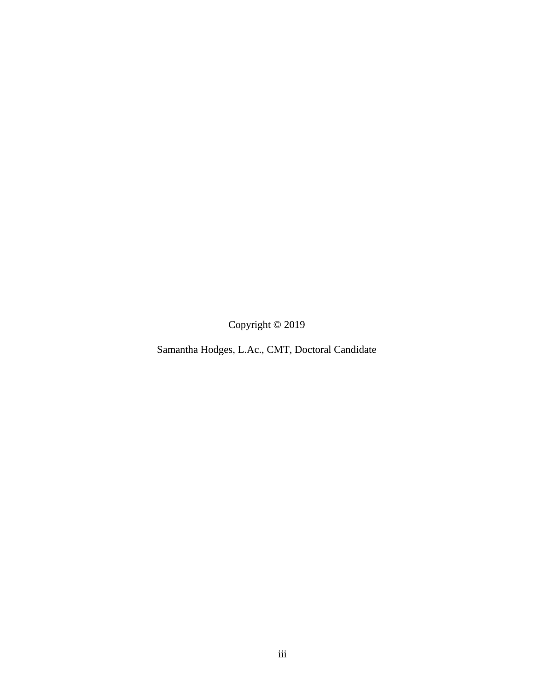Copyright © 2019

Samantha Hodges, L.Ac., CMT, Doctoral Candidate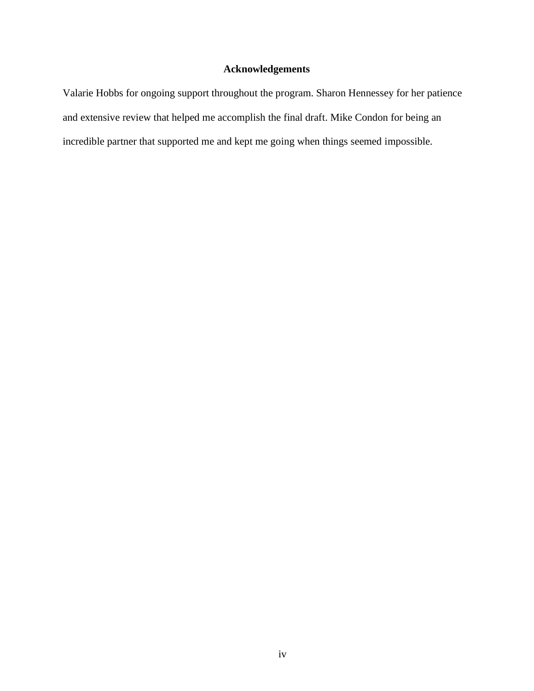# **Acknowledgements**

Valarie Hobbs for ongoing support throughout the program. Sharon Hennessey for her patience and extensive review that helped me accomplish the final draft. Mike Condon for being an incredible partner that supported me and kept me going when things seemed impossible.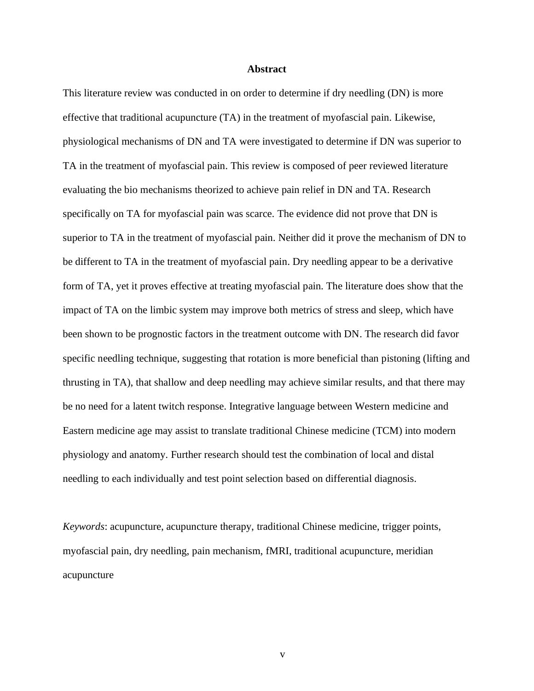# **Abstract**

This literature review was conducted in on order to determine if dry needling (DN) is more effective that traditional acupuncture (TA) in the treatment of myofascial pain. Likewise, physiological mechanisms of DN and TA were investigated to determine if DN was superior to TA in the treatment of myofascial pain. This review is composed of peer reviewed literature evaluating the bio mechanisms theorized to achieve pain relief in DN and TA. Research specifically on TA for myofascial pain was scarce. The evidence did not prove that DN is superior to TA in the treatment of myofascial pain. Neither did it prove the mechanism of DN to be different to TA in the treatment of myofascial pain. Dry needling appear to be a derivative form of TA, yet it proves effective at treating myofascial pain. The literature does show that the impact of TA on the limbic system may improve both metrics of stress and sleep, which have been shown to be prognostic factors in the treatment outcome with DN. The research did favor specific needling technique, suggesting that rotation is more beneficial than pistoning (lifting and thrusting in TA), that shallow and deep needling may achieve similar results, and that there may be no need for a latent twitch response. Integrative language between Western medicine and Eastern medicine age may assist to translate traditional Chinese medicine (TCM) into modern physiology and anatomy. Further research should test the combination of local and distal needling to each individually and test point selection based on differential diagnosis.

*Keywords*: acupuncture, acupuncture therapy, traditional Chinese medicine, trigger points, myofascial pain, dry needling, pain mechanism, fMRI, traditional acupuncture, meridian acupuncture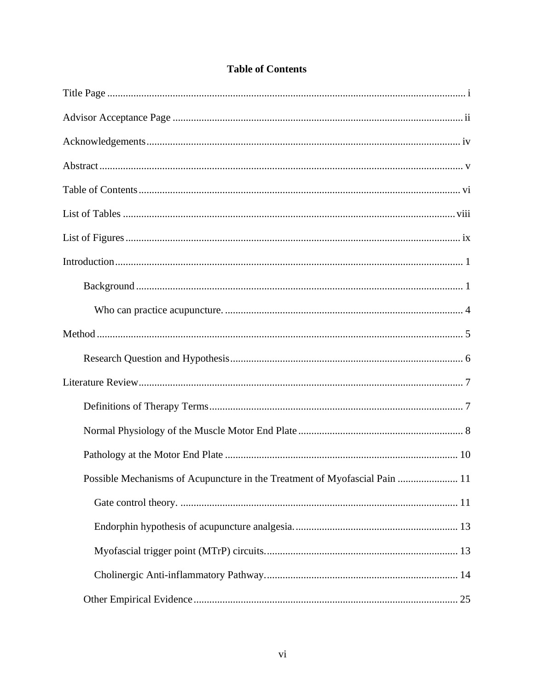| Possible Mechanisms of Acupuncture in the Treatment of Myofascial Pain  11 |
|----------------------------------------------------------------------------|
|                                                                            |
|                                                                            |
|                                                                            |
|                                                                            |
|                                                                            |

# **Table of Contents**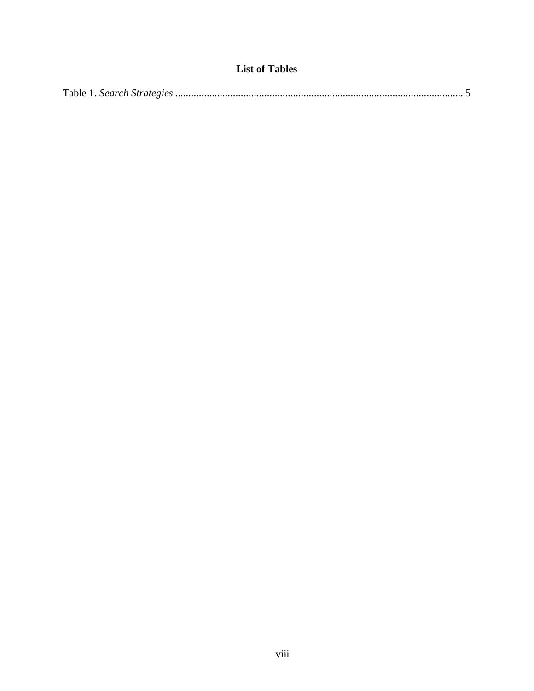# **List of Tables**

|--|--|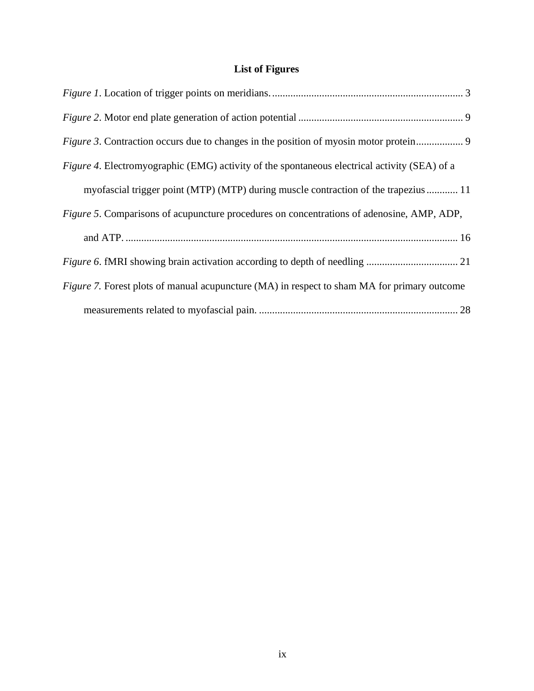# **List of Figures**

| <i>Figure 4.</i> Electromyographic (EMG) activity of the spontaneous electrical activity (SEA) of a |
|-----------------------------------------------------------------------------------------------------|
| myofascial trigger point (MTP) (MTP) during muscle contraction of the trapezius  11                 |
| <i>Figure 5.</i> Comparisons of acupuncture procedures on concentrations of adenosine, AMP, ADP,    |
|                                                                                                     |
|                                                                                                     |
| Figure 7. Forest plots of manual acupuncture (MA) in respect to sham MA for primary outcome         |
|                                                                                                     |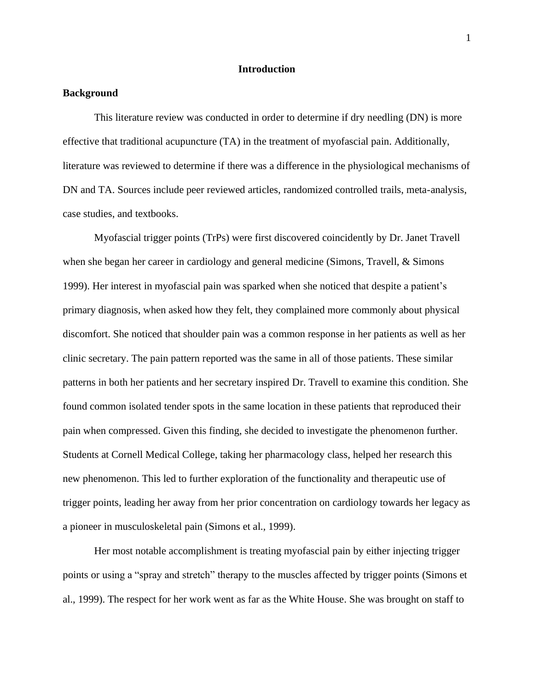# **Introduction**

# **Background**

This literature review was conducted in order to determine if dry needling (DN) is more effective that traditional acupuncture (TA) in the treatment of myofascial pain. Additionally, literature was reviewed to determine if there was a difference in the physiological mechanisms of DN and TA. Sources include peer reviewed articles, randomized controlled trails, meta-analysis, case studies, and textbooks.

Myofascial trigger points (TrPs) were first discovered coincidently by Dr. Janet Travell when she began her career in cardiology and general medicine (Simons, Travell, & Simons 1999). Her interest in myofascial pain was sparked when she noticed that despite a patient's primary diagnosis, when asked how they felt, they complained more commonly about physical discomfort. She noticed that shoulder pain was a common response in her patients as well as her clinic secretary. The pain pattern reported was the same in all of those patients. These similar patterns in both her patients and her secretary inspired Dr. Travell to examine this condition. She found common isolated tender spots in the same location in these patients that reproduced their pain when compressed. Given this finding, she decided to investigate the phenomenon further. Students at Cornell Medical College, taking her pharmacology class, helped her research this new phenomenon. This led to further exploration of the functionality and therapeutic use of trigger points, leading her away from her prior concentration on cardiology towards her legacy as a pioneer in musculoskeletal pain (Simons et al., 1999).

Her most notable accomplishment is treating myofascial pain by either injecting trigger points or using a "spray and stretch" therapy to the muscles affected by trigger points (Simons et al., 1999). The respect for her work went as far as the White House. She was brought on staff to

1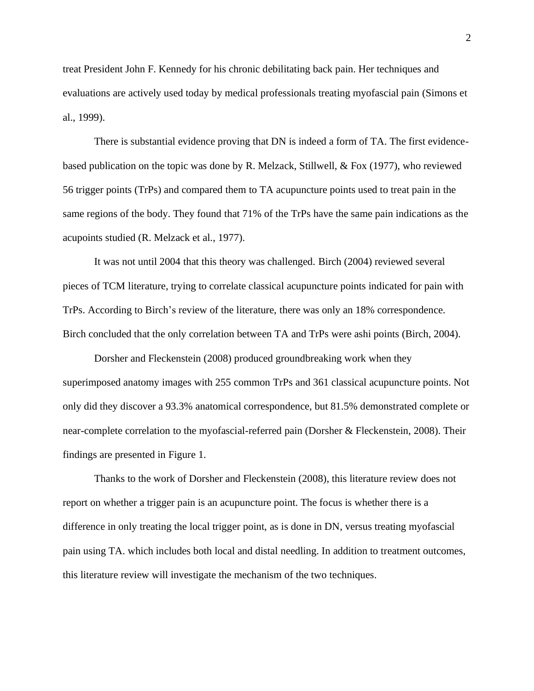treat President John F. Kennedy for his chronic debilitating back pain. Her techniques and evaluations are actively used today by medical professionals treating myofascial pain (Simons et al., 1999).

There is substantial evidence proving that DN is indeed a form of TA. The first evidencebased publication on the topic was done by R. Melzack, Stillwell, & Fox (1977), who reviewed 56 trigger points (TrPs) and compared them to TA acupuncture points used to treat pain in the same regions of the body. They found that 71% of the TrPs have the same pain indications as the acupoints studied (R. Melzack et al., 1977).

It was not until 2004 that this theory was challenged. Birch (2004) reviewed several pieces of TCM literature, trying to correlate classical acupuncture points indicated for pain with TrPs. According to Birch's review of the literature, there was only an 18% correspondence. Birch concluded that the only correlation between TA and TrPs were ashi points (Birch, 2004).

Dorsher and Fleckenstein (2008) produced groundbreaking work when they superimposed anatomy images with 255 common TrPs and 361 classical acupuncture points. Not only did they discover a 93.3% anatomical correspondence, but 81.5% demonstrated complete or near-complete correlation to the myofascial-referred pain (Dorsher & Fleckenstein, 2008). Their findings are presented in Figure 1.

Thanks to the work of Dorsher and Fleckenstein (2008), this literature review does not report on whether a trigger pain is an acupuncture point. The focus is whether there is a difference in only treating the local trigger point, as is done in DN, versus treating myofascial pain using TA. which includes both local and distal needling. In addition to treatment outcomes, this literature review will investigate the mechanism of the two techniques.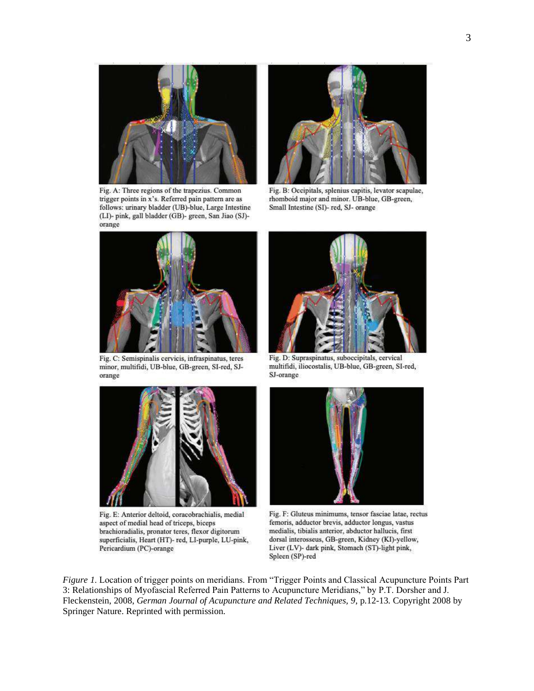

Fig. A: Three regions of the trapezius. Common trigger points in x's. Referred pain pattern are as follows: urinary bladder (UB)-blue, Large Intestine (LI)- pink, gall bladder (GB)- green, San Jiao (SJ)orange



Fig. B: Occipitals, splenius capitis, levator scapulae, rhomboid major and minor. UB-blue, GB-green, Small Intestine (SI)- red, SJ- orange



Fig. C: Semispinalis cervicis, infraspinatus, teres minor, multifidi, UB-blue, GB-green, SI-red, SJorange



Fig. E: Anterior deltoid, coracobrachialis, medial aspect of medial head of triceps, biceps brachioradialis, pronator teres, flexor digitorum superficialis, Heart (HT)- red, LI-purple, LU-pink, Pericardium (PC)-orange



Fig. D: Supraspinatus, suboccipitals, cervical multifidi, iliocostalis, UB-blue, GB-green, SI-red, SJ-orange



Fig. F: Gluteus minimums, tensor fasciae latae, rectus femoris, adductor brevis, adductor longus, vastus medialis, tibialis anterior, abductor hallucis, first dorsal interosseus, GB-green, Kidney (KI)-yellow, Liver (LV)- dark pink, Stomach (ST)-light pink, Spleen (SP)-red

*Figure 1*. Location of trigger points on meridians. From "Trigger Points and Classical Acupuncture Points Part 3: Relationships of Myofascial Referred Pain Patterns to Acupuncture Meridians," by P.T. Dorsher and J. Fleckenstein, 2008, *German Journal of Acupuncture and Related Techniques, 9*, p.12-13*.* Copyright 2008 by Springer Nature. Reprinted with permission.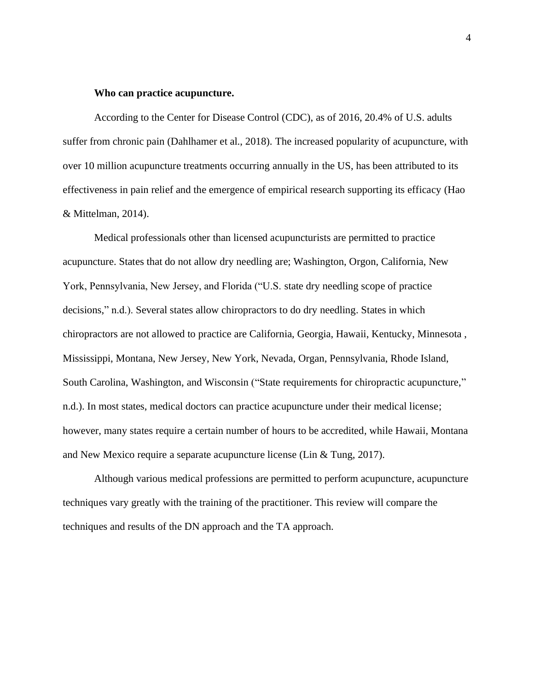# **Who can practice acupuncture.**

According to the Center for Disease Control (CDC), as of 2016, 20.4% of U.S. adults suffer from chronic pain (Dahlhamer et al., 2018). The increased popularity of acupuncture, with over 10 million acupuncture treatments occurring annually in the US, has been attributed to its effectiveness in pain relief and the emergence of empirical research supporting its efficacy (Hao & Mittelman, 2014).

Medical professionals other than licensed acupuncturists are permitted to practice acupuncture. States that do not allow dry needling are; Washington, Orgon, California, New York, Pennsylvania, New Jersey, and Florida ("U.S. state dry needling scope of practice decisions," n.d.). Several states allow chiropractors to do dry needling. States in which chiropractors are not allowed to practice are California, Georgia, Hawaii, Kentucky, Minnesota , Mississippi, Montana, New Jersey, New York, Nevada, Organ, Pennsylvania, Rhode Island, South Carolina, Washington, and Wisconsin ("State requirements for chiropractic acupuncture," n.d.). In most states, medical doctors can practice acupuncture under their medical license; however, many states require a certain number of hours to be accredited, while Hawaii, Montana and New Mexico require a separate acupuncture license (Lin & Tung, 2017).

Although various medical professions are permitted to perform acupuncture, acupuncture techniques vary greatly with the training of the practitioner. This review will compare the techniques and results of the DN approach and the TA approach.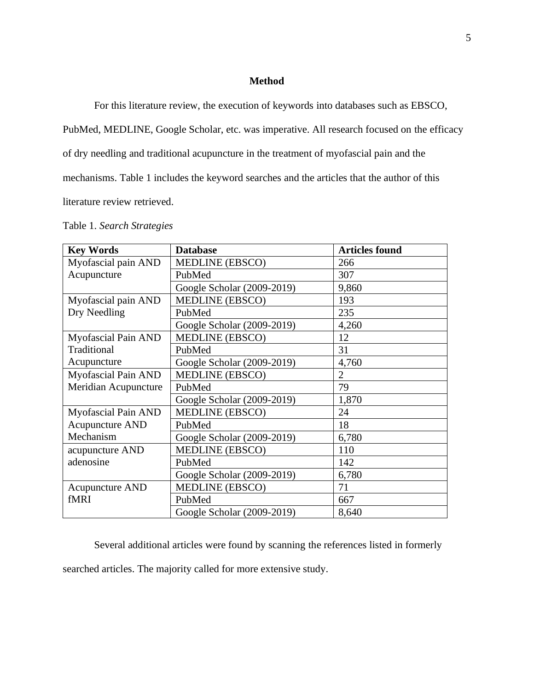# **Method**

For this literature review, the execution of keywords into databases such as EBSCO,

PubMed, MEDLINE, Google Scholar, etc. was imperative. All research focused on the efficacy

of dry needling and traditional acupuncture in the treatment of myofascial pain and the

mechanisms. Table 1 includes the keyword searches and the articles that the author of this

literature review retrieved.

|  | Table 1. Search Strategies |  |
|--|----------------------------|--|
|  |                            |  |

| <b>Key Words</b>           | <b>Database</b>            | <b>Articles found</b> |
|----------------------------|----------------------------|-----------------------|
| Myofascial pain AND        | <b>MEDLINE (EBSCO)</b>     | 266                   |
| Acupuncture                | PubMed                     | 307                   |
|                            | Google Scholar (2009-2019) | 9,860                 |
| Myofascial pain AND        | <b>MEDLINE (EBSCO)</b>     | 193                   |
| Dry Needling               | PubMed                     | 235                   |
|                            | Google Scholar (2009-2019) | 4,260                 |
| <b>Myofascial Pain AND</b> | <b>MEDLINE (EBSCO)</b>     | 12                    |
| Traditional                | PubMed                     | 31                    |
| Acupuncture                | Google Scholar (2009-2019) | 4,760                 |
| Myofascial Pain AND        | <b>MEDLINE (EBSCO)</b>     | $\overline{2}$        |
| Meridian Acupuncture       | PubMed                     | 79                    |
|                            | Google Scholar (2009-2019) | 1,870                 |
| Myofascial Pain AND        | <b>MEDLINE (EBSCO)</b>     | 24                    |
| <b>Acupuncture AND</b>     | PubMed                     | 18                    |
| Mechanism                  | Google Scholar (2009-2019) | 6,780                 |
| acupuncture AND            | <b>MEDLINE (EBSCO)</b>     | 110                   |
| adenosine                  | PubMed                     | 142                   |
|                            | Google Scholar (2009-2019) | 6,780                 |
| <b>Acupuncture AND</b>     | <b>MEDLINE (EBSCO)</b>     | 71                    |
| fMRI                       | PubMed                     | 667                   |
|                            | Google Scholar (2009-2019) | 8,640                 |

Several additional articles were found by scanning the references listed in formerly searched articles. The majority called for more extensive study.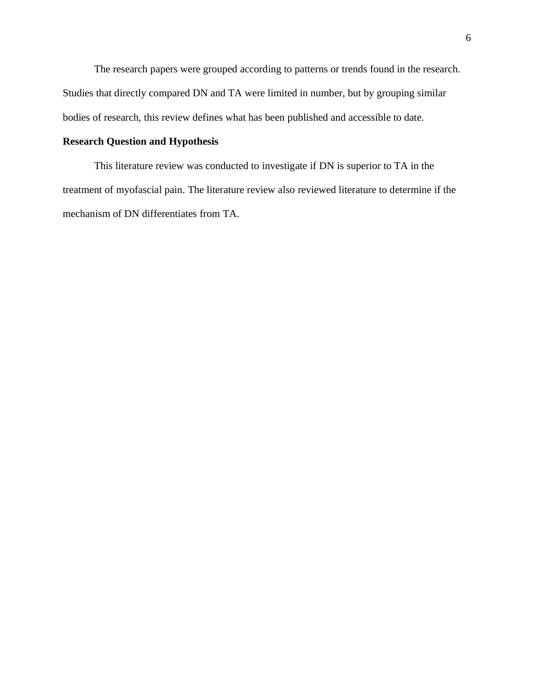The research papers were grouped according to patterns or trends found in the research. Studies that directly compared DN and TA were limited in number, but by grouping similar bodies of research, this review defines what has been published and accessible to date.

# **Research Question and Hypothesis**

This literature review was conducted to investigate if DN is superior to TA in the treatment of myofascial pain. The literature review also reviewed literature to determine if the mechanism of DN differentiates from TA.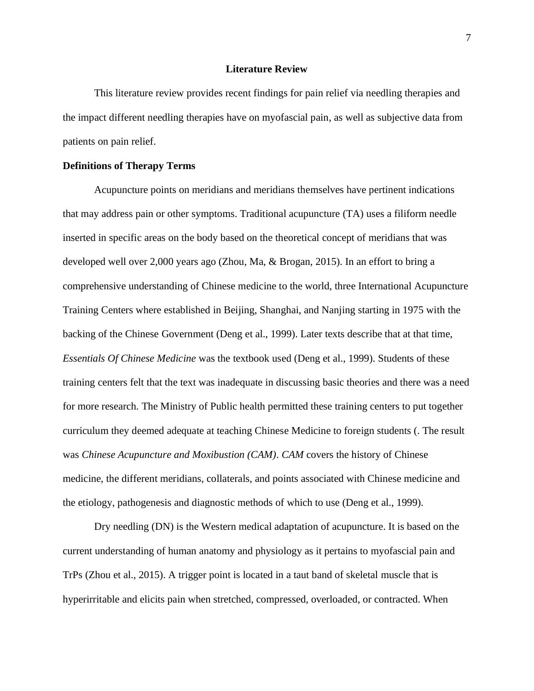# **Literature Review**

This literature review provides recent findings for pain relief via needling therapies and the impact different needling therapies have on myofascial pain, as well as subjective data from patients on pain relief.

# **Definitions of Therapy Terms**

Acupuncture points on meridians and meridians themselves have pertinent indications that may address pain or other symptoms. Traditional acupuncture (TA) uses a filiform needle inserted in specific areas on the body based on the theoretical concept of meridians that was developed well over 2,000 years ago (Zhou, Ma, & Brogan, 2015). In an effort to bring a comprehensive understanding of Chinese medicine to the world, three International Acupuncture Training Centers where established in Beijing, Shanghai, and Nanjing starting in 1975 with the backing of the Chinese Government (Deng et al., 1999). Later texts describe that at that time, *Essentials Of Chinese Medicine* was the textbook used (Deng et al., 1999). Students of these training centers felt that the text was inadequate in discussing basic theories and there was a need for more research. The Ministry of Public health permitted these training centers to put together curriculum they deemed adequate at teaching Chinese Medicine to foreign students (. The result was *Chinese Acupuncture and Moxibustion (CAM)*. *CAM* covers the history of Chinese medicine, the different meridians, collaterals, and points associated with Chinese medicine and the etiology, pathogenesis and diagnostic methods of which to use (Deng et al., 1999).

Dry needling (DN) is the Western medical adaptation of acupuncture. It is based on the current understanding of human anatomy and physiology as it pertains to myofascial pain and TrPs (Zhou et al., 2015). A trigger point is located in a taut band of skeletal muscle that is hyperirritable and elicits pain when stretched, compressed, overloaded, or contracted. When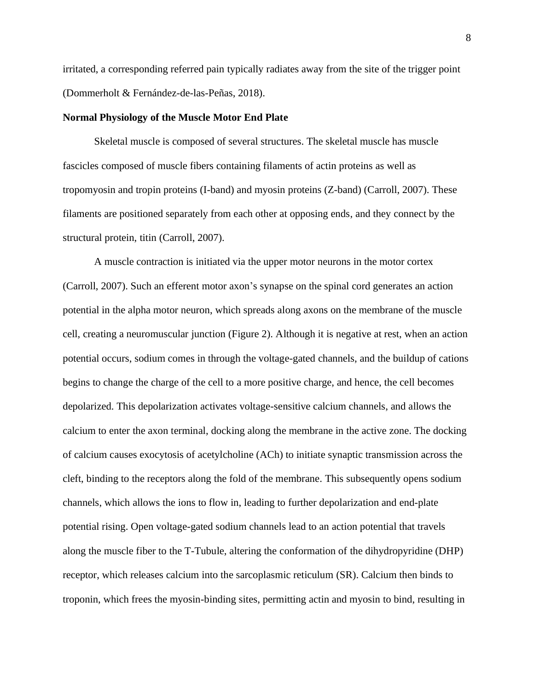irritated, a corresponding referred pain typically radiates away from the site of the trigger point (Dommerholt & Fernández-de-las-Peñas, 2018).

## **Normal Physiology of the Muscle Motor End Plate**

Skeletal muscle is composed of several structures. The skeletal muscle has muscle fascicles composed of muscle fibers containing filaments of actin proteins as well as tropomyosin and tropin proteins (I-band) and myosin proteins (Z-band) (Carroll, 2007). These filaments are positioned separately from each other at opposing ends, and they connect by the structural protein, titin (Carroll, 2007).

A muscle contraction is initiated via the upper motor neurons in the motor cortex (Carroll, 2007). Such an efferent motor axon's synapse on the spinal cord generates an action potential in the alpha motor neuron, which spreads along axons on the membrane of the muscle cell, creating a neuromuscular junction (Figure 2). Although it is negative at rest, when an action potential occurs, sodium comes in through the voltage-gated channels, and the buildup of cations begins to change the charge of the cell to a more positive charge, and hence, the cell becomes depolarized. This depolarization activates voltage-sensitive calcium channels, and allows the calcium to enter the axon terminal, docking along the membrane in the active zone. The docking of calcium causes exocytosis of acetylcholine (ACh) to initiate synaptic transmission across the cleft, binding to the receptors along the fold of the membrane. This subsequently opens sodium channels, which allows the ions to flow in, leading to further depolarization and end-plate potential rising. Open voltage-gated sodium channels lead to an action potential that travels along the muscle fiber to the T-Tubule, altering the conformation of the dihydropyridine (DHP) receptor, which releases calcium into the sarcoplasmic reticulum (SR). Calcium then binds to troponin, which frees the myosin-binding sites, permitting actin and myosin to bind, resulting in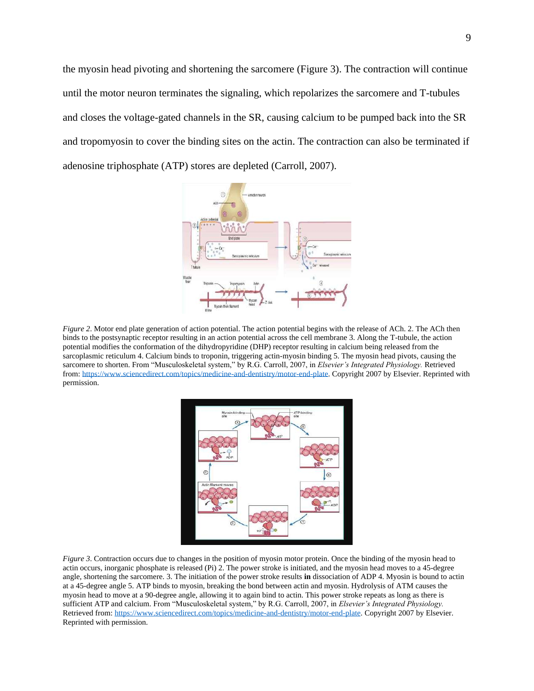the myosin head pivoting and shortening the sarcomere (Figure 3). The contraction will continue until the motor neuron terminates the signaling, which repolarizes the sarcomere and T-tubules and closes the voltage-gated channels in the SR, causing calcium to be pumped back into the SR and tropomyosin to cover the binding sites on the actin. The contraction can also be terminated if adenosine triphosphate (ATP) stores are depleted (Carroll, 2007).



*Figure 2*. Motor end plate generation of action potential. The action potential begins with the release of ACh. 2. The ACh then binds to the postsynaptic receptor resulting in an action potential across the cell membrane 3. Along the T-tubule, the action potential modifies the conformation of the dihydropyridine (DHP) receptor resulting in calcium being released from the sarcoplasmic reticulum 4. Calcium binds to troponin, triggering actin-myosin binding 5. The myosin head pivots, causing the sarcomere to shorten. From "Musculoskeletal system," by R.G. Carroll, 2007, in *Elsevier's Integrated Physiology.* Retrieved from[: https://www.sciencedirect.com/topics/medicine-and-dentistry/motor-end-plate.](https://www.sciencedirect.com/topics/medicine-and-dentistry/motor-end-plate) Copyright 2007 by Elsevier. Reprinted with permission.



*Figure 3*. Contraction occurs due to changes in the position of myosin motor protein. Once the binding of the myosin head to actin occurs, inorganic phosphate is released (Pi) 2. The power stroke is initiated, and the myosin head moves to a 45-degree angle, shortening the sarcomere. 3. The initiation of the power stroke results **in** dissociation of ADP 4. Myosin is bound to actin at a 45-degree angle 5. ATP binds to myosin, breaking the bond between actin and myosin. Hydrolysis of ATM causes the myosin head to move at a 90-degree angle, allowing it to again bind to actin. This power stroke repeats as long as there is sufficient ATP and calcium. From "Musculoskeletal system," by R.G. Carroll, 2007, in *Elsevier's Integrated Physiology.*  Retrieved from[: https://www.sciencedirect.com/topics/medicine-and-dentistry/motor-end-plate.](https://www.sciencedirect.com/topics/medicine-and-dentistry/motor-end-plate) Copyright 2007 by Elsevier. Reprinted with permission.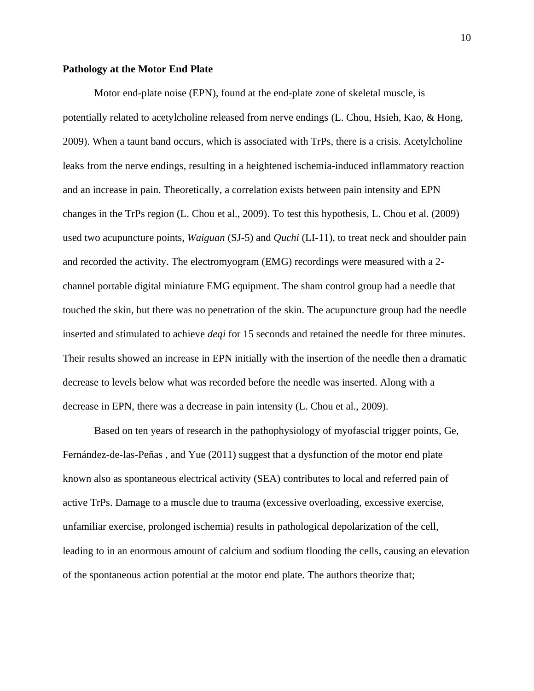#### **Pathology at the Motor End Plate**

Motor end-plate noise (EPN), found at the end-plate zone of skeletal muscle, is potentially related to acetylcholine released from nerve endings (L. Chou, Hsieh, Kao, & Hong, 2009). When a taunt band occurs, which is associated with TrPs, there is a crisis. Acetylcholine leaks from the nerve endings, resulting in a heightened ischemia-induced inflammatory reaction and an increase in pain. Theoretically, a correlation exists between pain intensity and EPN changes in the TrPs region (L. Chou et al., 2009). To test this hypothesis, L. Chou et al. (2009) used two acupuncture points, *Waiguan* (SJ-5) and *Quchi* (LI-11), to treat neck and shoulder pain and recorded the activity. The electromyogram (EMG) recordings were measured with a 2 channel portable digital miniature EMG equipment. The sham control group had a needle that touched the skin, but there was no penetration of the skin. The acupuncture group had the needle inserted and stimulated to achieve *deqi* for 15 seconds and retained the needle for three minutes. Their results showed an increase in EPN initially with the insertion of the needle then a dramatic decrease to levels below what was recorded before the needle was inserted. Along with a decrease in EPN, there was a decrease in pain intensity (L. Chou et al., 2009).

Based on ten years of research in the pathophysiology of myofascial trigger points, Ge, Fernández-de-las-Peñas , and Yue (2011) suggest that a dysfunction of the motor end plate known also as spontaneous electrical activity (SEA) contributes to local and referred pain of active TrPs. Damage to a muscle due to trauma (excessive overloading, excessive exercise, unfamiliar exercise, prolonged ischemia) results in pathological depolarization of the cell, leading to in an enormous amount of calcium and sodium flooding the cells, causing an elevation of the spontaneous action potential at the motor end plate. The authors theorize that;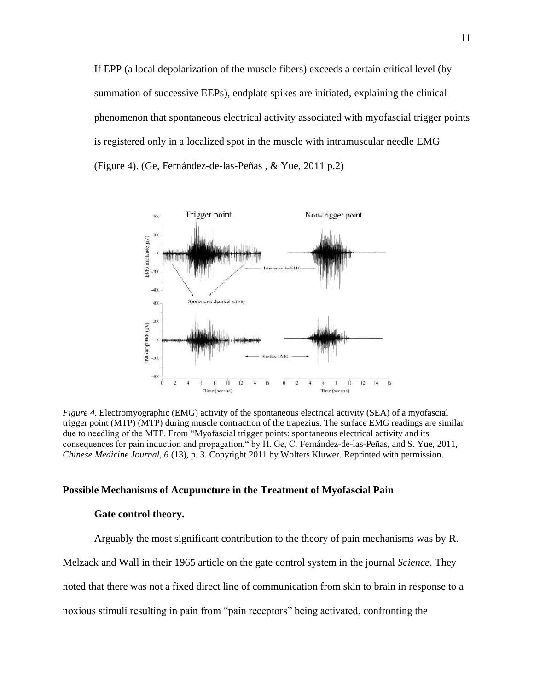If EPP (a local depolarization of the muscle fibers) exceeds a certain critical level (by summation of successive EEPs), endplate spikes are initiated, explaining the clinical phenomenon that spontaneous electrical activity associated with myofascial trigger points is registered only in a localized spot in the muscle with intramuscular needle EMG (Figure 4). (Ge, Fernández-de-las-Peñas , & Yue, 2011 p.2)



*Figure 4*. Electromyographic (EMG) activity of the spontaneous electrical activity (SEA) of a myofascial trigger point (MTP) (MTP) during muscle contraction of the trapezius. The surface EMG readings are similar due to needling of the MTP. From "Myofascial trigger points: spontaneous electrical activity and its consequences for pain induction and propagation," by H. Ge, C. Fernández-de-las-Peñas, and S. Yue, 2011, *Chinese Medicine Journal, 6* (13), p. 3*.* Copyright 2011 by Wolters Kluwer. Reprinted with permission.

#### **Possible Mechanisms of Acupuncture in the Treatment of Myofascial Pain**

#### **Gate control theory.**

Arguably the most significant contribution to the theory of pain mechanisms was by R.

Melzack and Wall in their 1965 article on the gate control system in the journal *Science*. They

noted that there was not a fixed direct line of communication from skin to brain in response to a

noxious stimuli resulting in pain from "pain receptors" being activated, confronting the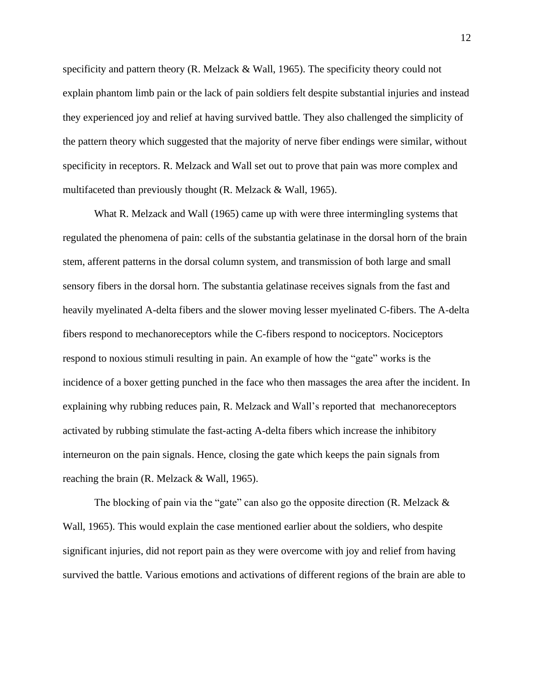specificity and pattern theory (R. Melzack  $&$  Wall, 1965). The specificity theory could not explain phantom limb pain or the lack of pain soldiers felt despite substantial injuries and instead they experienced joy and relief at having survived battle. They also challenged the simplicity of the pattern theory which suggested that the majority of nerve fiber endings were similar, without specificity in receptors. R. Melzack and Wall set out to prove that pain was more complex and multifaceted than previously thought (R. Melzack & Wall, 1965).

What R. Melzack and Wall (1965) came up with were three intermingling systems that regulated the phenomena of pain: cells of the substantia gelatinase in the dorsal horn of the brain stem, afferent patterns in the dorsal column system, and transmission of both large and small sensory fibers in the dorsal horn. The substantia gelatinase receives signals from the fast and heavily myelinated A-delta fibers and the slower moving lesser myelinated C-fibers. The A-delta fibers respond to mechanoreceptors while the C-fibers respond to nociceptors. Nociceptors respond to noxious stimuli resulting in pain. An example of how the "gate" works is the incidence of a boxer getting punched in the face who then massages the area after the incident. In explaining why rubbing reduces pain, R. Melzack and Wall's reported that mechanoreceptors activated by rubbing stimulate the fast-acting A-delta fibers which increase the inhibitory interneuron on the pain signals. Hence, closing the gate which keeps the pain signals from reaching the brain (R. Melzack & Wall, 1965).

The blocking of pain via the "gate" can also go the opposite direction (R. Melzack & Wall, 1965). This would explain the case mentioned earlier about the soldiers, who despite significant injuries, did not report pain as they were overcome with joy and relief from having survived the battle. Various emotions and activations of different regions of the brain are able to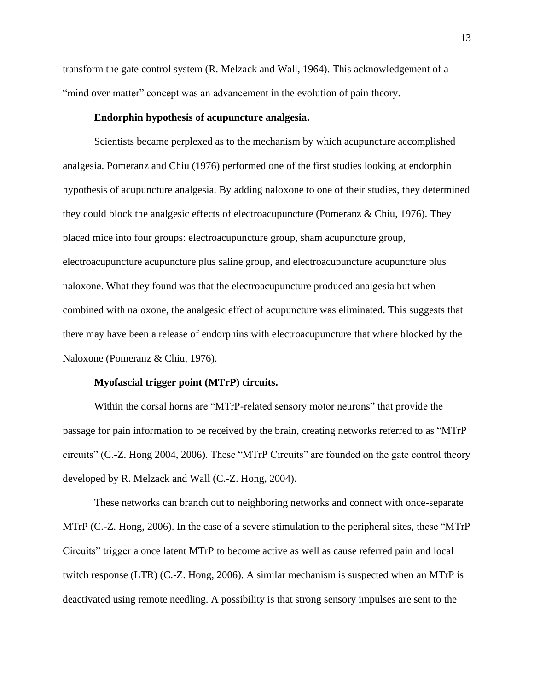transform the gate control system (R. Melzack and Wall, 1964). This acknowledgement of a "mind over matter" concept was an advancement in the evolution of pain theory.

# **Endorphin hypothesis of acupuncture analgesia.**

Scientists became perplexed as to the mechanism by which acupuncture accomplished analgesia. Pomeranz and Chiu (1976) performed one of the first studies looking at endorphin hypothesis of acupuncture analgesia. By adding naloxone to one of their studies, they determined they could block the analgesic effects of electroacupuncture (Pomeranz & Chiu, 1976). They placed mice into four groups: electroacupuncture group, sham acupuncture group, electroacupuncture acupuncture plus saline group, and electroacupuncture acupuncture plus naloxone. What they found was that the electroacupuncture produced analgesia but when combined with naloxone, the analgesic effect of acupuncture was eliminated. This suggests that there may have been a release of endorphins with electroacupuncture that where blocked by the Naloxone (Pomeranz & Chiu, 1976).

# **Myofascial trigger point (MTrP) circuits.**

Within the dorsal horns are "MTrP-related sensory motor neurons" that provide the passage for pain information to be received by the brain, creating networks referred to as "MTrP circuits" (C.-Z. Hong 2004, 2006). These "MTrP Circuits" are founded on the gate control theory developed by R. Melzack and Wall (C.-Z. Hong, 2004).

These networks can branch out to neighboring networks and connect with once-separate MTrP (C.-Z. Hong, 2006). In the case of a severe stimulation to the peripheral sites, these "MTrP Circuits" trigger a once latent MTrP to become active as well as cause referred pain and local twitch response (LTR) (C.-Z. Hong, 2006). A similar mechanism is suspected when an MTrP is deactivated using remote needling. A possibility is that strong sensory impulses are sent to the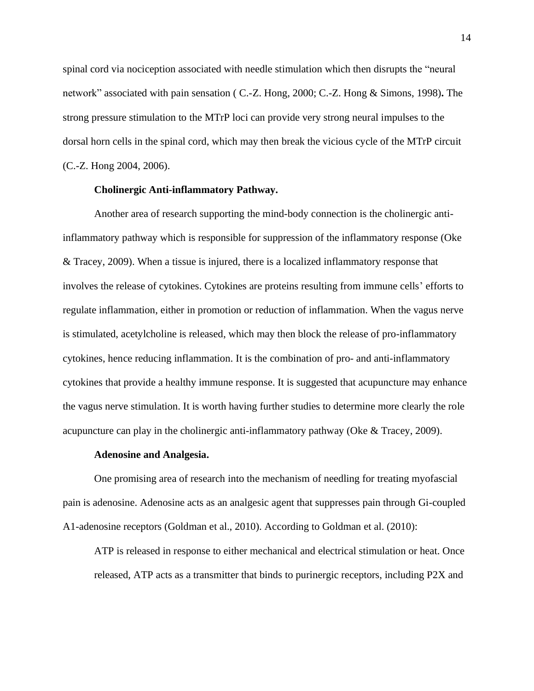spinal cord via nociception associated with needle stimulation which then disrupts the "neural network" associated with pain sensation ( C.-Z. Hong, 2000; C.-Z. Hong & Simons, 1998)**.** The strong pressure stimulation to the MTrP loci can provide very strong neural impulses to the dorsal horn cells in the spinal cord, which may then break the vicious cycle of the MTrP circuit (C.-Z. Hong 2004, 2006).

# **Cholinergic Anti-inflammatory Pathway.**

Another area of research supporting the mind-body connection is the cholinergic antiinflammatory pathway which is responsible for suppression of the inflammatory response (Oke & Tracey, 2009). When a tissue is injured, there is a localized inflammatory response that involves the release of cytokines. Cytokines are proteins resulting from immune cells' efforts to regulate inflammation, either in promotion or reduction of inflammation. When the vagus nerve is stimulated, acetylcholine is released, which may then block the release of pro-inflammatory cytokines, hence reducing inflammation. It is the combination of pro- and anti-inflammatory cytokines that provide a healthy immune response. It is suggested that acupuncture may enhance the vagus nerve stimulation. It is worth having further studies to determine more clearly the role acupuncture can play in the cholinergic anti-inflammatory pathway (Oke & Tracey, 2009).

#### **Adenosine and Analgesia.**

One promising area of research into the mechanism of needling for treating myofascial pain is adenosine. Adenosine acts as an analgesic agent that suppresses pain through Gi-coupled A1-adenosine receptors (Goldman et al., 2010). According to Goldman et al. (2010):

ATP is released in response to either mechanical and electrical stimulation or heat. Once released, ATP acts as a transmitter that binds to purinergic receptors, including P2X and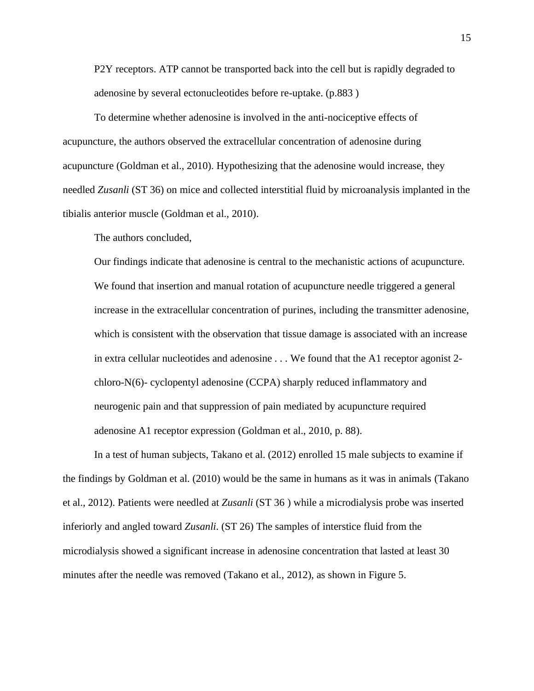P2Y receptors. ATP cannot be transported back into the cell but is rapidly degraded to adenosine by several ectonucleotides before re-uptake. (p.883 )

To determine whether adenosine is involved in the anti-nociceptive effects of acupuncture, the authors observed the extracellular concentration of adenosine during acupuncture (Goldman et al., 2010). Hypothesizing that the adenosine would increase, they needled *Zusanli* (ST 36) on mice and collected interstitial fluid by microanalysis implanted in the tibialis anterior muscle (Goldman et al., 2010).

The authors concluded,

Our findings indicate that adenosine is central to the mechanistic actions of acupuncture. We found that insertion and manual rotation of acupuncture needle triggered a general increase in the extracellular concentration of purines, including the transmitter adenosine, which is consistent with the observation that tissue damage is associated with an increase in extra cellular nucleotides and adenosine . . . We found that the A1 receptor agonist 2 chloro-N(6)- cyclopentyl adenosine (CCPA) sharply reduced inflammatory and neurogenic pain and that suppression of pain mediated by acupuncture required adenosine A1 receptor expression (Goldman et al., 2010, p. 88).

In a test of human subjects, Takano et al. (2012) enrolled 15 male subjects to examine if the findings by Goldman et al. (2010) would be the same in humans as it was in animals (Takano et al., 2012). Patients were needled at *Zusanli* (ST 36 ) while a microdialysis probe was inserted inferiorly and angled toward *Zusanli*. (ST 26) The samples of interstice fluid from the microdialysis showed a significant increase in adenosine concentration that lasted at least 30 minutes after the needle was removed (Takano et al., 2012), as shown in Figure 5.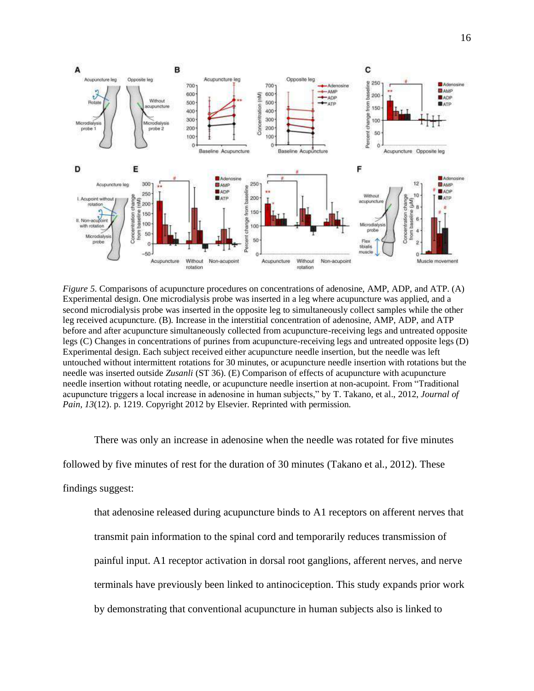

*Figure 5*. Comparisons of acupuncture procedures on concentrations of adenosine, AMP, ADP, and ATP. (A) Experimental design. One microdialysis probe was inserted in a leg where acupuncture was applied, and a second microdialysis probe was inserted in the opposite leg to simultaneously collect samples while the other leg received acupuncture. (B). Increase in the interstitial concentration of adenosine, AMP, ADP, and ATP before and after acupuncture simultaneously collected from acupuncture-receiving legs and untreated opposite legs (C) Changes in concentrations of purines from acupuncture-receiving legs and untreated opposite legs (D) Experimental design. Each subject received either acupuncture needle insertion, but the needle was left untouched without intermittent rotations for 30 minutes, or acupuncture needle insertion with rotations but the needle was inserted outside *Zusanli* (ST 36). (E) Comparison of effects of acupuncture with acupuncture needle insertion without rotating needle, or acupuncture needle insertion at non-acupoint. From "Traditional acupuncture triggers a local increase in adenosine in human subjects," by T. Takano, et al., 2012, *Journal of Pain, 13*(12). p. 1219. Copyright 2012 by Elsevier. Reprinted with permission.

There was only an increase in adenosine when the needle was rotated for five minutes followed by five minutes of rest for the duration of 30 minutes (Takano et al., 2012). These findings suggest:

that adenosine released during acupuncture binds to A1 receptors on afferent nerves that transmit pain information to the spinal cord and temporarily reduces transmission of painful input. A1 receptor activation in dorsal root ganglions, afferent nerves, and nerve terminals have previously been linked to antinociception. This study expands prior work by demonstrating that conventional acupuncture in human subjects also is linked to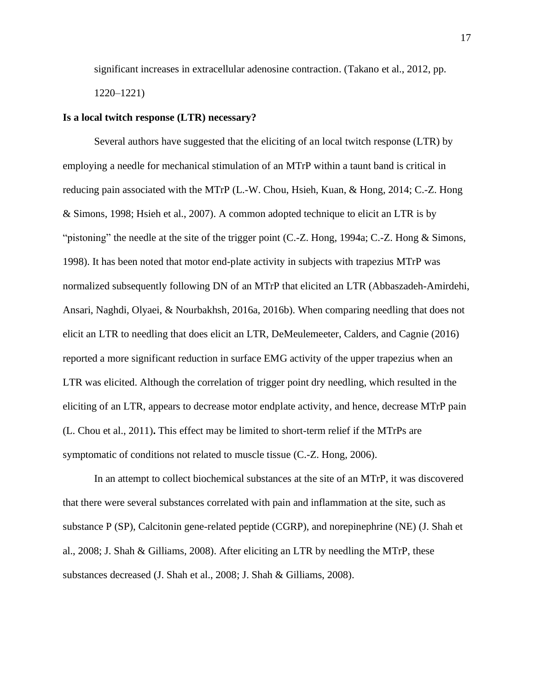significant increases in extracellular adenosine contraction. (Takano et al., 2012, pp. 1220–1221)

# **Is a local twitch response (LTR) necessary?**

Several authors have suggested that the eliciting of an local twitch response (LTR) by employing a needle for mechanical stimulation of an MTrP within a taunt band is critical in reducing pain associated with the MTrP (L.-W. Chou, Hsieh, Kuan, & Hong, 2014; C.-Z. Hong & Simons, 1998; Hsieh et al., 2007). A common adopted technique to elicit an LTR is by "pistoning" the needle at the site of the trigger point (C.-Z. Hong, 1994a; C.-Z. Hong & Simons, 1998). It has been noted that motor end-plate activity in subjects with trapezius MTrP was normalized subsequently following DN of an MTrP that elicited an LTR (Abbaszadeh-Amirdehi, Ansari, Naghdi, Olyaei, & Nourbakhsh, 2016a, 2016b). When comparing needling that does not elicit an LTR to needling that does elicit an LTR, DeMeulemeeter, Calders, and Cagnie (2016) reported a more significant reduction in surface EMG activity of the upper trapezius when an LTR was elicited. Although the correlation of trigger point dry needling, which resulted in the eliciting of an LTR, appears to decrease motor endplate activity, and hence, decrease MTrP pain (L. Chou et al., 2011)**.** This effect may be limited to short-term relief if the MTrPs are symptomatic of conditions not related to muscle tissue (C.-Z. Hong, 2006).

In an attempt to collect biochemical substances at the site of an MTrP, it was discovered that there were several substances correlated with pain and inflammation at the site, such as substance P (SP), Calcitonin gene-related peptide (CGRP), and norepinephrine (NE) (J. Shah et al., 2008; J. Shah & Gilliams, 2008). After eliciting an LTR by needling the MTrP, these substances decreased (J. Shah et al., 2008; J. Shah & Gilliams, 2008).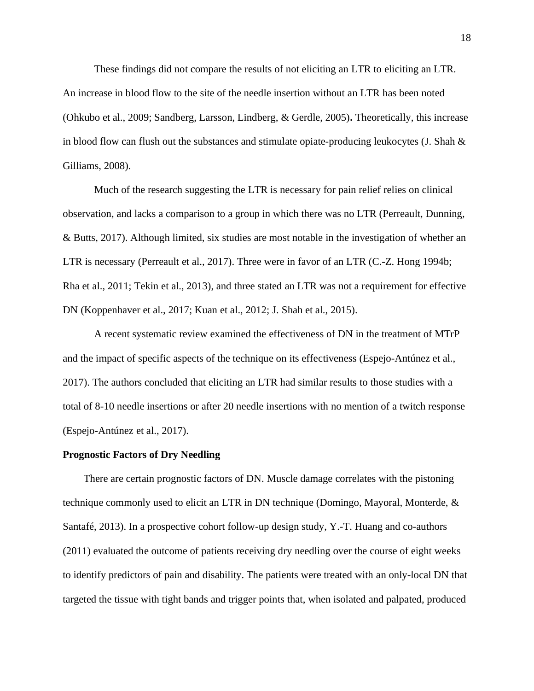These findings did not compare the results of not eliciting an LTR to eliciting an LTR. An increase in blood flow to the site of the needle insertion without an LTR has been noted (Ohkubo et al., 2009; Sandberg, Larsson, Lindberg, & Gerdle, 2005)**.** Theoretically, this increase in blood flow can flush out the substances and stimulate opiate-producing leukocytes (J. Shah & Gilliams, 2008).

Much of the research suggesting the LTR is necessary for pain relief relies on clinical observation, and lacks a comparison to a group in which there was no LTR (Perreault, Dunning, & Butts, 2017). Although limited, six studies are most notable in the investigation of whether an LTR is necessary (Perreault et al., 2017). Three were in favor of an LTR (C.-Z. Hong 1994b; Rha et al., 2011; Tekin et al., 2013), and three stated an LTR was not a requirement for effective DN (Koppenhaver et al., 2017; Kuan et al., 2012; J. Shah et al., 2015).

A recent systematic review examined the effectiveness of DN in the treatment of MTrP and the impact of specific aspects of the technique on its effectiveness (Espejo-Antúnez et al., 2017). The authors concluded that eliciting an LTR had similar results to those studies with a total of 8-10 needle insertions or after 20 needle insertions with no mention of a twitch response (Espejo-Antúnez et al., 2017).

#### **Prognostic Factors of Dry Needling**

There are certain prognostic factors of DN. Muscle damage correlates with the pistoning technique commonly used to elicit an LTR in DN technique (Domingo, Mayoral, Monterde, & Santafé, 2013). In a prospective cohort follow-up design study, Y.-T. Huang and co-authors (2011) evaluated the outcome of patients receiving dry needling over the course of eight weeks to identify predictors of pain and disability. The patients were treated with an only-local DN that targeted the tissue with tight bands and trigger points that, when isolated and palpated, produced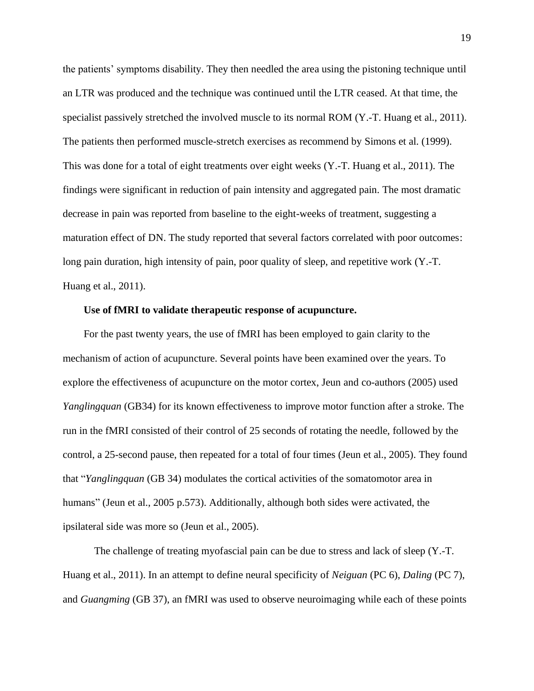the patients' symptoms disability. They then needled the area using the pistoning technique until an LTR was produced and the technique was continued until the LTR ceased. At that time, the specialist passively stretched the involved muscle to its normal ROM (Y.-T. Huang et al., 2011). The patients then performed muscle-stretch exercises as recommend by Simons et al. (1999). This was done for a total of eight treatments over eight weeks (Y.-T. Huang et al., 2011). The findings were significant in reduction of pain intensity and aggregated pain. The most dramatic decrease in pain was reported from baseline to the eight-weeks of treatment, suggesting a maturation effect of DN. The study reported that several factors correlated with poor outcomes: long pain duration, high intensity of pain, poor quality of sleep, and repetitive work (Y.-T. Huang et al., 2011).

## **Use of fMRI to validate therapeutic response of acupuncture.**

For the past twenty years, the use of fMRI has been employed to gain clarity to the mechanism of action of acupuncture. Several points have been examined over the years. To explore the effectiveness of acupuncture on the motor cortex, Jeun and co-authors (2005) used *Yanglingquan* (GB34) for its known effectiveness to improve motor function after a stroke. The run in the fMRI consisted of their control of 25 seconds of rotating the needle, followed by the control, a 25-second pause, then repeated for a total of four times (Jeun et al., 2005). They found that "*Yanglingquan* (GB 34) modulates the cortical activities of the somatomotor area in humans" (Jeun et al., 2005 p.573). Additionally, although both sides were activated, the ipsilateral side was more so (Jeun et al., 2005).

The challenge of treating myofascial pain can be due to stress and lack of sleep (Y.-T. Huang et al., 2011). In an attempt to define neural specificity of *Neiguan* (PC 6), *Daling* (PC 7), and *Guangming* (GB 37), an fMRI was used to observe neuroimaging while each of these points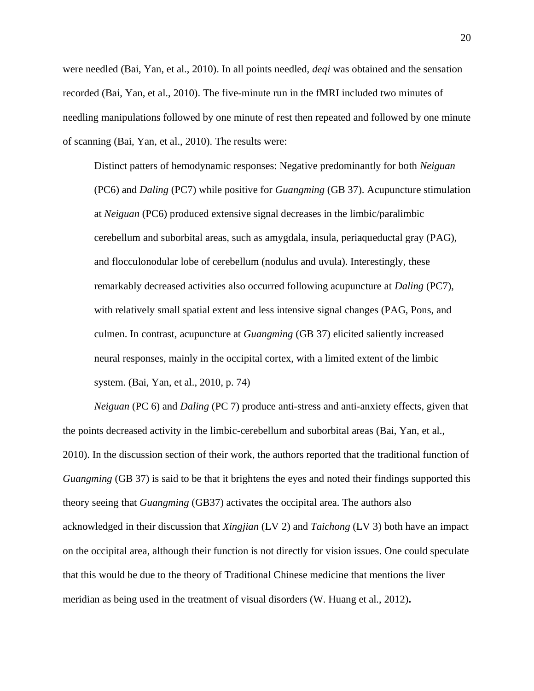were needled (Bai, Yan, et al., 2010). In all points needled, *deqi* was obtained and the sensation recorded (Bai, Yan, et al., 2010). The five-minute run in the fMRI included two minutes of needling manipulations followed by one minute of rest then repeated and followed by one minute of scanning (Bai, Yan, et al., 2010). The results were:

Distinct patters of hemodynamic responses: Negative predominantly for both *Neiguan*  (PC6) and *Daling* (PC7) while positive for *Guangming* (GB 37). Acupuncture stimulation at *Neiguan* (PC6) produced extensive signal decreases in the limbic/paralimbic cerebellum and suborbital areas, such as amygdala, insula, periaqueductal gray (PAG), and flocculonodular lobe of cerebellum (nodulus and uvula). Interestingly, these remarkably decreased activities also occurred following acupuncture at *Daling* (PC7), with relatively small spatial extent and less intensive signal changes (PAG, Pons, and culmen. In contrast, acupuncture at *Guangming* (GB 37) elicited saliently increased neural responses, mainly in the occipital cortex, with a limited extent of the limbic system. (Bai, Yan, et al., 2010, p. 74)

*Neiguan* (PC 6) and *Daling* (PC 7) produce anti-stress and anti-anxiety effects, given that the points decreased activity in the limbic-cerebellum and suborbital areas (Bai, Yan, et al., 2010). In the discussion section of their work, the authors reported that the traditional function of *Guangming* (GB 37) is said to be that it brightens the eyes and noted their findings supported this theory seeing that *Guangming* (GB37) activates the occipital area. The authors also acknowledged in their discussion that *Xingjian* (LV 2) and *Taichong* (LV 3) both have an impact on the occipital area, although their function is not directly for vision issues. One could speculate that this would be due to the theory of Traditional Chinese medicine that mentions the liver meridian as being used in the treatment of visual disorders (W. Huang et al., 2012)**.**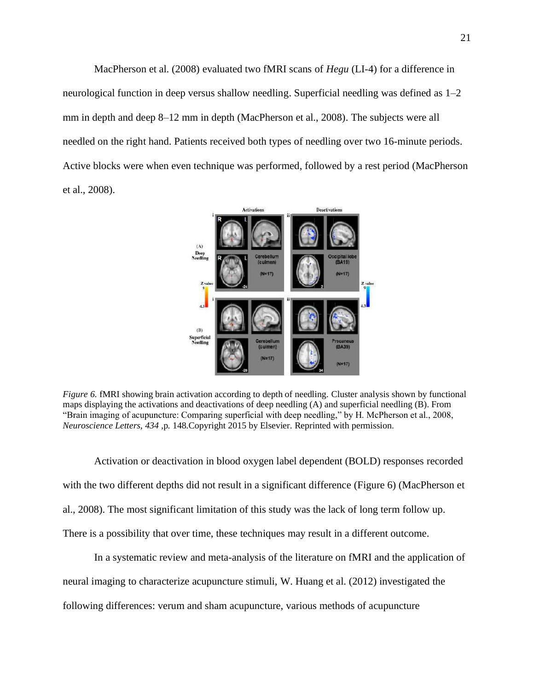MacPherson et al. (2008) evaluated two fMRI scans of *Hegu* (LI-4) for a difference in neurological function in deep versus shallow needling. Superficial needling was defined as 1–2 mm in depth and deep 8–12 mm in depth (MacPherson et al., 2008). The subjects were all needled on the right hand. Patients received both types of needling over two 16-minute periods. Active blocks were when even technique was performed, followed by a rest period (MacPherson et al., 2008).



*Figure 6*. fMRI showing brain activation according to depth of needling. Cluster analysis shown by functional maps displaying the activations and deactivations of deep needling (A) and superficial needling (B). From "Brain imaging of acupuncture: Comparing superficial with deep needling," by H. McPherson et al., 2008, *Neuroscience Letters, 434 ,*p. 148.Copyright 2015 by Elsevier. Reprinted with permission.

Activation or deactivation in blood oxygen label dependent (BOLD) responses recorded with the two different depths did not result in a significant difference (Figure 6) (MacPherson et al., 2008). The most significant limitation of this study was the lack of long term follow up. There is a possibility that over time, these techniques may result in a different outcome.

In a systematic review and meta-analysis of the literature on fMRI and the application of neural imaging to characterize acupuncture stimuli, W. Huang et al. (2012) investigated the following differences: verum and sham acupuncture, various methods of acupuncture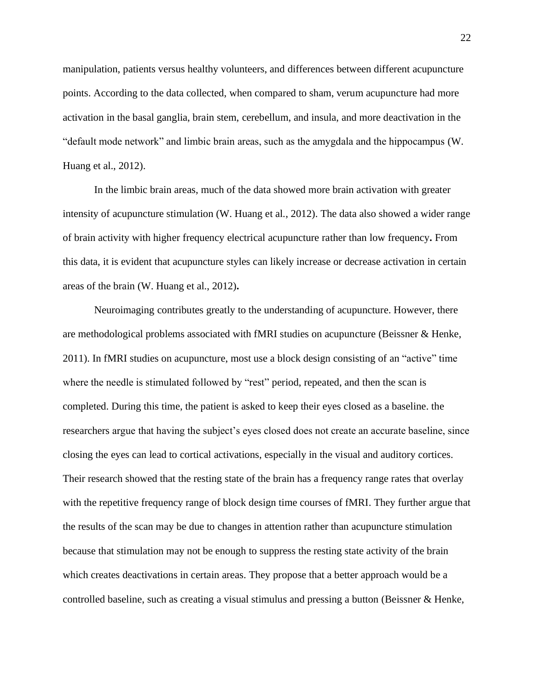manipulation, patients versus healthy volunteers, and differences between different acupuncture points. According to the data collected, when compared to sham, verum acupuncture had more activation in the basal ganglia, brain stem, cerebellum, and insula, and more deactivation in the "default mode network" and limbic brain areas, such as the amygdala and the hippocampus (W. Huang et al., 2012).

In the limbic brain areas, much of the data showed more brain activation with greater intensity of acupuncture stimulation (W. Huang et al., 2012). The data also showed a wider range of brain activity with higher frequency electrical acupuncture rather than low frequency**.** From this data, it is evident that acupuncture styles can likely increase or decrease activation in certain areas of the brain (W. Huang et al., 2012)**.** 

Neuroimaging contributes greatly to the understanding of acupuncture. However, there are methodological problems associated with fMRI studies on acupuncture (Beissner & Henke, 2011). In fMRI studies on acupuncture, most use a block design consisting of an "active" time where the needle is stimulated followed by "rest" period, repeated, and then the scan is completed. During this time, the patient is asked to keep their eyes closed as a baseline. the researchers argue that having the subject's eyes closed does not create an accurate baseline, since closing the eyes can lead to cortical activations, especially in the visual and auditory cortices. Their research showed that the resting state of the brain has a frequency range rates that overlay with the repetitive frequency range of block design time courses of fMRI. They further argue that the results of the scan may be due to changes in attention rather than acupuncture stimulation because that stimulation may not be enough to suppress the resting state activity of the brain which creates deactivations in certain areas. They propose that a better approach would be a controlled baseline, such as creating a visual stimulus and pressing a button (Beissner & Henke,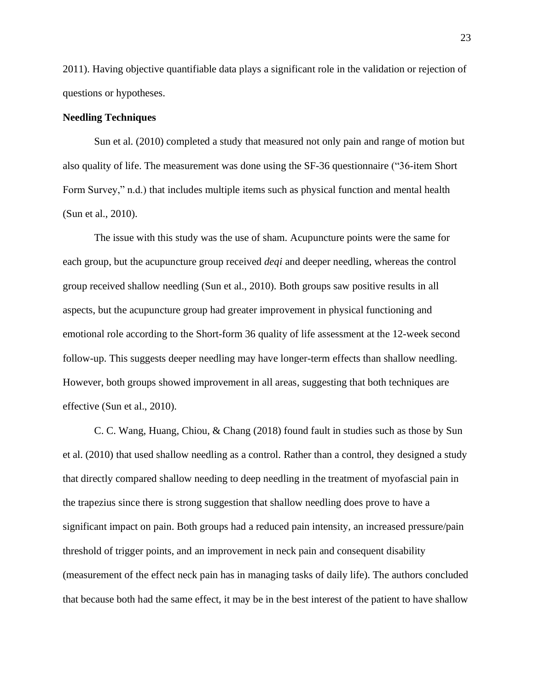2011). Having objective quantifiable data plays a significant role in the validation or rejection of questions or hypotheses.

# **Needling Techniques**

Sun et al. (2010) completed a study that measured not only pain and range of motion but also quality of life. The measurement was done using the SF-36 questionnaire ("36-item Short Form Survey," n.d.) that includes multiple items such as physical function and mental health (Sun et al., 2010).

The issue with this study was the use of sham. Acupuncture points were the same for each group, but the acupuncture group received *deqi* and deeper needling, whereas the control group received shallow needling (Sun et al., 2010). Both groups saw positive results in all aspects, but the acupuncture group had greater improvement in physical functioning and emotional role according to the Short-form 36 quality of life assessment at the 12-week second follow-up. This suggests deeper needling may have longer-term effects than shallow needling. However, both groups showed improvement in all areas, suggesting that both techniques are effective (Sun et al., 2010).

C. C. Wang, Huang, Chiou, & Chang (2018) found fault in studies such as those by Sun et al. (2010) that used shallow needling as a control. Rather than a control, they designed a study that directly compared shallow needing to deep needling in the treatment of myofascial pain in the trapezius since there is strong suggestion that shallow needling does prove to have a significant impact on pain. Both groups had a reduced pain intensity, an increased pressure/pain threshold of trigger points, and an improvement in neck pain and consequent disability (measurement of the effect neck pain has in managing tasks of daily life). The authors concluded that because both had the same effect, it may be in the best interest of the patient to have shallow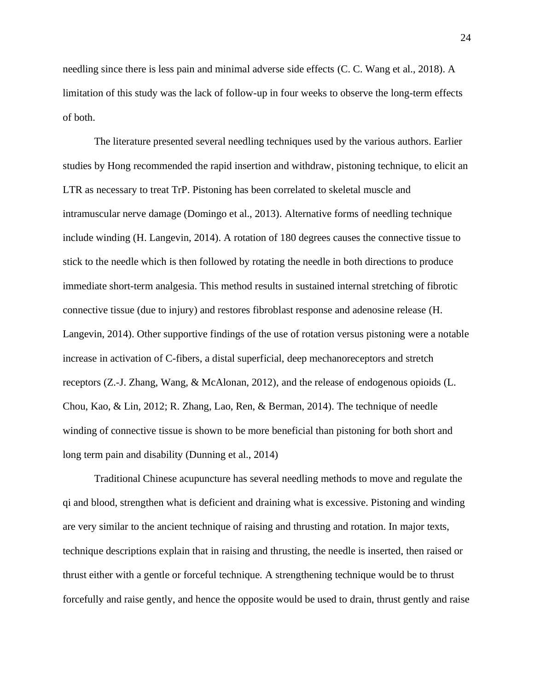needling since there is less pain and minimal adverse side effects (C. C. Wang et al., 2018). A limitation of this study was the lack of follow-up in four weeks to observe the long-term effects of both.

The literature presented several needling techniques used by the various authors. Earlier studies by Hong recommended the rapid insertion and withdraw, pistoning technique, to elicit an LTR as necessary to treat TrP. Pistoning has been correlated to skeletal muscle and intramuscular nerve damage (Domingo et al., 2013). Alternative forms of needling technique include winding (H. Langevin, 2014). A rotation of 180 degrees causes the connective tissue to stick to the needle which is then followed by rotating the needle in both directions to produce immediate short-term analgesia. This method results in sustained internal stretching of fibrotic connective tissue (due to injury) and restores fibroblast response and adenosine release (H. Langevin, 2014). Other supportive findings of the use of rotation versus pistoning were a notable increase in activation of C-fibers, a distal superficial, deep mechanoreceptors and stretch receptors (Z.-J. Zhang, Wang, & McAlonan, 2012), and the release of endogenous opioids (L. Chou, Kao, & Lin, 2012; R. Zhang, Lao, Ren, & Berman, 2014). The technique of needle winding of connective tissue is shown to be more beneficial than pistoning for both short and long term pain and disability (Dunning et al., 2014)

Traditional Chinese acupuncture has several needling methods to move and regulate the qi and blood, strengthen what is deficient and draining what is excessive. Pistoning and winding are very similar to the ancient technique of raising and thrusting and rotation. In major texts, technique descriptions explain that in raising and thrusting, the needle is inserted, then raised or thrust either with a gentle or forceful technique. A strengthening technique would be to thrust forcefully and raise gently, and hence the opposite would be used to drain, thrust gently and raise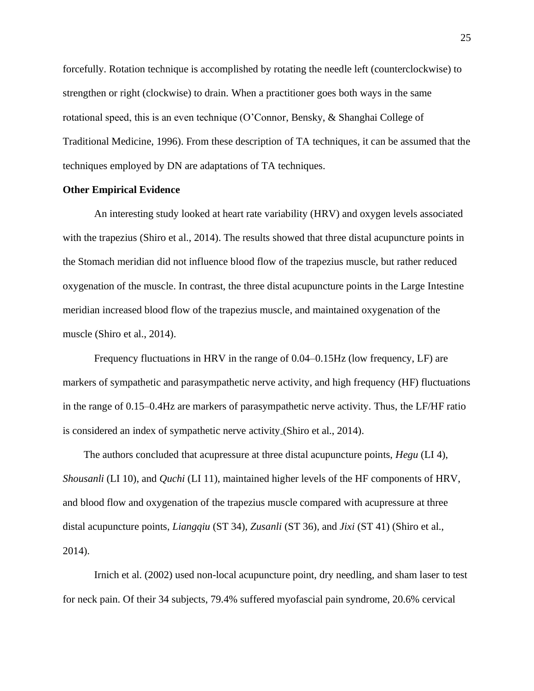forcefully. Rotation technique is accomplished by rotating the needle left (counterclockwise) to strengthen or right (clockwise) to drain. When a practitioner goes both ways in the same rotational speed, this is an even technique (O'Connor, Bensky, & Shanghai College of Traditional Medicine, 1996). From these description of TA techniques, it can be assumed that the techniques employed by DN are adaptations of TA techniques.

# **Other Empirical Evidence**

An interesting study looked at heart rate variability (HRV) and oxygen levels associated with the trapezius (Shiro et al., 2014). The results showed that three distal acupuncture points in the Stomach meridian did not influence blood flow of the trapezius muscle, but rather reduced oxygenation of the muscle. In contrast, the three distal acupuncture points in the Large Intestine meridian increased blood flow of the trapezius muscle, and maintained oxygenation of the muscle (Shiro et al., 2014).

Frequency fluctuations in HRV in the range of 0.04–0.15Hz (low frequency, LF) are markers of sympathetic and parasympathetic nerve activity, and high frequency (HF) fluctuations in the range of 0.15–0.4Hz are markers of parasympathetic nerve activity. Thus, the LF/HF ratio is considered an index of sympathetic nerve activity (Shiro et al., 2014).

The authors concluded that acupressure at three distal acupuncture points, *Hegu* (LI 4), *Shousanli* (LI 10), and *Quchi* (LI 11), maintained higher levels of the HF components of HRV, and blood flow and oxygenation of the trapezius muscle compared with acupressure at three distal acupuncture points, *Liangqiu* (ST 34), *Zusanli* (ST 36), and *Jixi* (ST 41) (Shiro et al., 2014).

Irnich et al. (2002) used non-local acupuncture point, dry needling, and sham laser to test for neck pain. Of their 34 subjects, 79.4% suffered myofascial pain syndrome, 20.6% cervical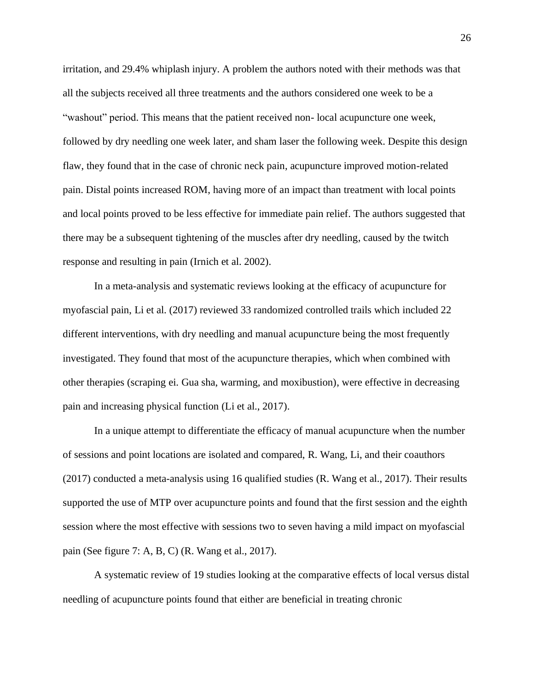irritation, and 29.4% whiplash injury. A problem the authors noted with their methods was that all the subjects received all three treatments and the authors considered one week to be a "washout" period. This means that the patient received non- local acupuncture one week, followed by dry needling one week later, and sham laser the following week. Despite this design flaw, they found that in the case of chronic neck pain, acupuncture improved motion-related pain. Distal points increased ROM, having more of an impact than treatment with local points and local points proved to be less effective for immediate pain relief. The authors suggested that there may be a subsequent tightening of the muscles after dry needling, caused by the twitch response and resulting in pain (Irnich et al. 2002).

In a meta-analysis and systematic reviews looking at the efficacy of acupuncture for myofascial pain, Li et al. (2017) reviewed 33 randomized controlled trails which included 22 different interventions, with dry needling and manual acupuncture being the most frequently investigated. They found that most of the acupuncture therapies, which when combined with other therapies (scraping ei. Gua sha, warming, and moxibustion), were effective in decreasing pain and increasing physical function (Li et al., 2017).

In a unique attempt to differentiate the efficacy of manual acupuncture when the number of sessions and point locations are isolated and compared, R. Wang, Li, and their coauthors (2017) conducted a meta-analysis using 16 qualified studies (R. Wang et al., 2017). Their results supported the use of MTP over acupuncture points and found that the first session and the eighth session where the most effective with sessions two to seven having a mild impact on myofascial pain (See figure 7: A, B, C) (R. Wang et al., 2017).

A systematic review of 19 studies looking at the comparative effects of local versus distal needling of acupuncture points found that either are beneficial in treating chronic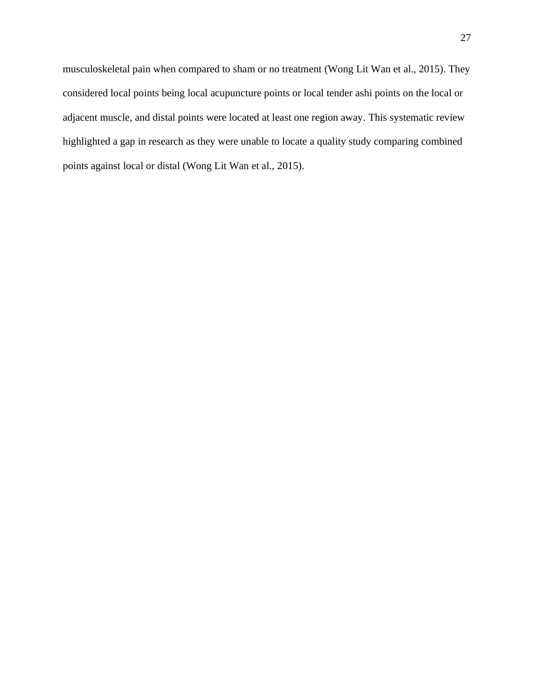musculoskeletal pain when compared to sham or no treatment (Wong Lit Wan et al., 2015). They considered local points being local acupuncture points or local tender ashi points on the local or adjacent muscle, and distal points were located at least one region away. This systematic review highlighted a gap in research as they were unable to locate a quality study comparing combined points against local or distal (Wong Lit Wan et al., 2015).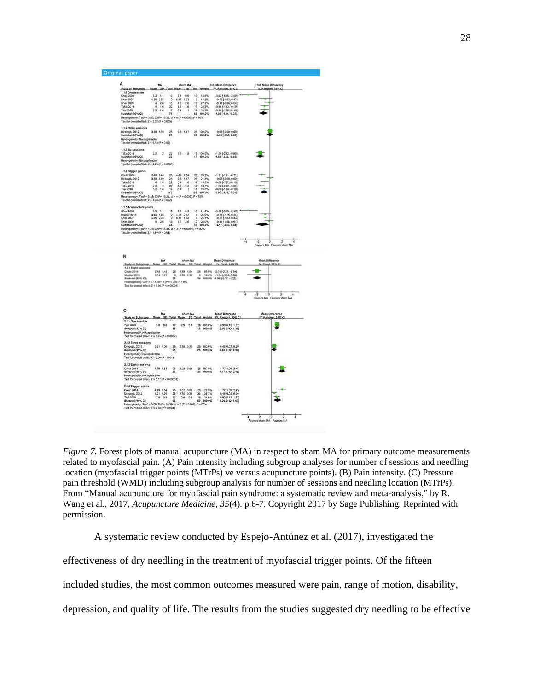

*Figure 7.* Forest plots of manual acupuncture (MA) in respect to sham MA for primary outcome measurements related to myofascial pain. (A) Pain intensity including subgroup analyses for number of sessions and needling location (myofascial trigger points (MTrPs) ve versus acupuncture points). (B) Pain intensity. (C) Pressure pain threshold (WMD) including subgroup analysis for number of sessions and needling location (MTrPs). From "Manual acupuncture for myofascial pain syndrome: a systematic review and meta-analysis," by R. Wang et al., 2017, *Acupuncture Medicine, 35*(4). p.6-7. Copyright 2017 by Sage Publishing. Reprinted with permission.

A systematic review conducted by Espejo-Antúnez et al. (2017), investigated the

effectiveness of dry needling in the treatment of myofascial trigger points. Of the fifteen

included studies, the most common outcomes measured were pain, range of motion, disability,

depression, and quality of life. The results from the studies suggested dry needling to be effective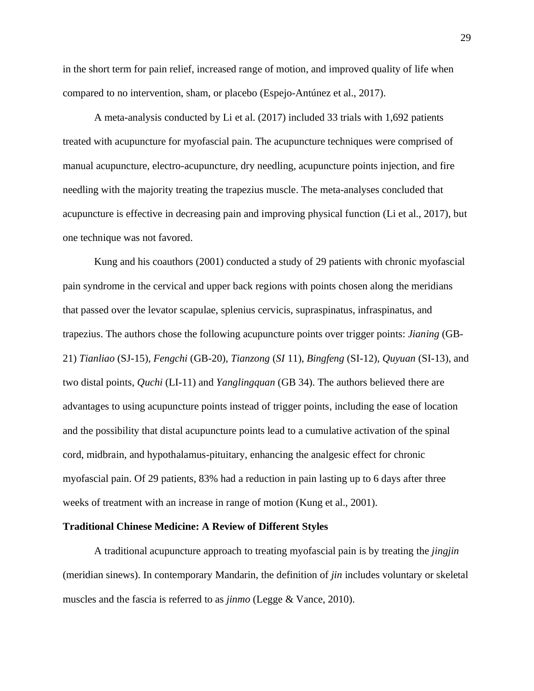in the short term for pain relief, increased range of motion, and improved quality of life when compared to no intervention, sham, or placebo (Espejo-Antúnez et al., 2017).

A meta-analysis conducted by Li et al. (2017) included 33 trials with 1,692 patients treated with acupuncture for myofascial pain. The acupuncture techniques were comprised of manual acupuncture, electro-acupuncture, dry needling, acupuncture points injection, and fire needling with the majority treating the trapezius muscle. The meta-analyses concluded that acupuncture is effective in decreasing pain and improving physical function (Li et al., 2017), but one technique was not favored.

Kung and his coauthors (2001) conducted a study of 29 patients with chronic myofascial pain syndrome in the cervical and upper back regions with points chosen along the meridians that passed over the levator scapulae, splenius cervicis, supraspinatus, infraspinatus, and trapezius. The authors chose the following acupuncture points over trigger points: *Jianing* (GB-21) *Tianliao* (SJ-15), *Fengchi* (GB-20), *Tianzong* (*SI* 11), *Bingfeng* (SI-12), *Quyuan* (SI-13), and two distal points, *Quchi* (LI-11) and *Yanglingquan* (GB 34). The authors believed there are advantages to using acupuncture points instead of trigger points, including the ease of location and the possibility that distal acupuncture points lead to a cumulative activation of the spinal cord, midbrain, and hypothalamus-pituitary, enhancing the analgesic effect for chronic myofascial pain. Of 29 patients, 83% had a reduction in pain lasting up to 6 days after three weeks of treatment with an increase in range of motion (Kung et al., 2001).

#### **Traditional Chinese Medicine: A Review of Different Styles**

A traditional acupuncture approach to treating myofascial pain is by treating the *jingjin* (meridian sinews). In contemporary Mandarin, the definition of *jin* includes voluntary or skeletal muscles and the fascia is referred to as *jinmo* (Legge & Vance, 2010).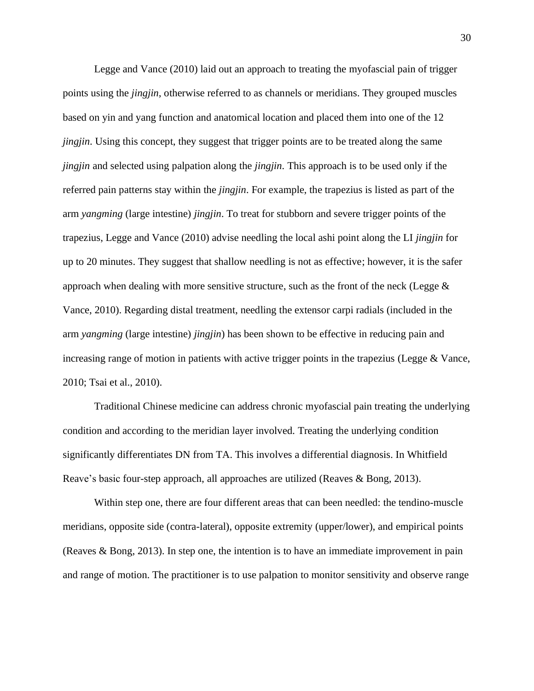Legge and Vance (2010) laid out an approach to treating the myofascial pain of trigger points using the *jingjin*, otherwise referred to as channels or meridians. They grouped muscles based on yin and yang function and anatomical location and placed them into one of the 12 *jingjin*. Using this concept, they suggest that trigger points are to be treated along the same *jingjin* and selected using palpation along the *jingjin*. This approach is to be used only if the referred pain patterns stay within the *jingjin*. For example, the trapezius is listed as part of the arm *yangming* (large intestine) *jingjin*. To treat for stubborn and severe trigger points of the trapezius, Legge and Vance (2010) advise needling the local ashi point along the LI *jingjin* for up to 20 minutes. They suggest that shallow needling is not as effective; however, it is the safer approach when dealing with more sensitive structure, such as the front of the neck (Legge  $\&$ Vance, 2010). Regarding distal treatment, needling the extensor carpi radials (included in the arm *yangming* (large intestine) *jingjin*) has been shown to be effective in reducing pain and increasing range of motion in patients with active trigger points in the trapezius (Legge & Vance, 2010; Tsai et al., 2010).

Traditional Chinese medicine can address chronic myofascial pain treating the underlying condition and according to the meridian layer involved. Treating the underlying condition significantly differentiates DN from TA. This involves a differential diagnosis. In Whitfield Reave's basic four-step approach, all approaches are utilized (Reaves & Bong, 2013).

Within step one, there are four different areas that can been needled: the tendino-muscle meridians, opposite side (contra-lateral), opposite extremity (upper/lower), and empirical points (Reaves & Bong, 2013). In step one, the intention is to have an immediate improvement in pain and range of motion. The practitioner is to use palpation to monitor sensitivity and observe range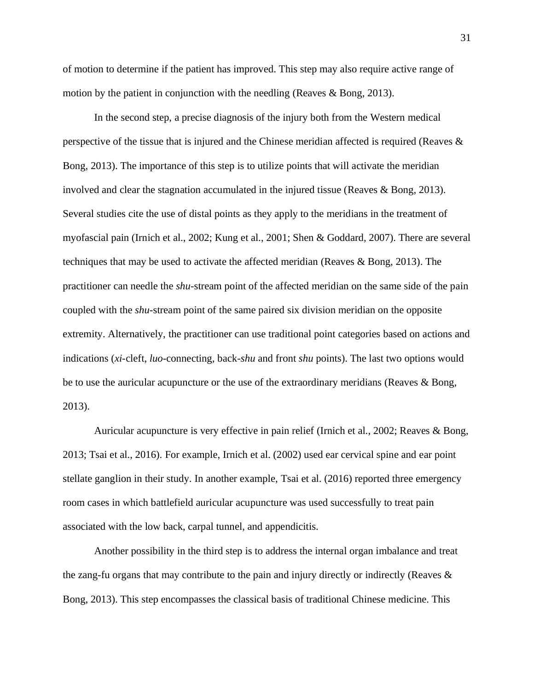of motion to determine if the patient has improved. This step may also require active range of motion by the patient in conjunction with the needling (Reaves & Bong, 2013).

In the second step, a precise diagnosis of the injury both from the Western medical perspective of the tissue that is injured and the Chinese meridian affected is required (Reaves & Bong, 2013). The importance of this step is to utilize points that will activate the meridian involved and clear the stagnation accumulated in the injured tissue (Reaves & Bong, 2013). Several studies cite the use of distal points as they apply to the meridians in the treatment of myofascial pain (Irnich et al., 2002; Kung et al., 2001; Shen & Goddard, 2007). There are several techniques that may be used to activate the affected meridian (Reaves & Bong, 2013). The practitioner can needle the *shu*-stream point of the affected meridian on the same side of the pain coupled with the *shu*-stream point of the same paired six division meridian on the opposite extremity. Alternatively, the practitioner can use traditional point categories based on actions and indications (*xi*-cleft, *luo*-connecting, back-*shu* and front *shu* points). The last two options would be to use the auricular acupuncture or the use of the extraordinary meridians (Reaves & Bong, 2013).

Auricular acupuncture is very effective in pain relief (Irnich et al., 2002; Reaves & Bong, 2013; Tsai et al., 2016). For example, Irnich et al. (2002) used ear cervical spine and ear point stellate ganglion in their study. In another example, Tsai et al. (2016) reported three emergency room cases in which battlefield auricular acupuncture was used successfully to treat pain associated with the low back, carpal tunnel, and appendicitis.

Another possibility in the third step is to address the internal organ imbalance and treat the zang-fu organs that may contribute to the pain and injury directly or indirectly (Reaves & Bong, 2013). This step encompasses the classical basis of traditional Chinese medicine. This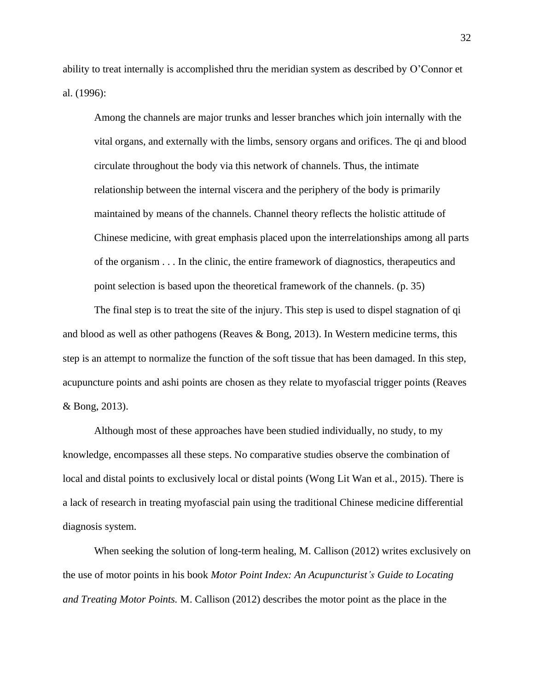ability to treat internally is accomplished thru the meridian system as described by O'Connor et al. (1996):

Among the channels are major trunks and lesser branches which join internally with the vital organs, and externally with the limbs, sensory organs and orifices. The qi and blood circulate throughout the body via this network of channels. Thus, the intimate relationship between the internal viscera and the periphery of the body is primarily maintained by means of the channels. Channel theory reflects the holistic attitude of Chinese medicine, with great emphasis placed upon the interrelationships among all parts of the organism . . . In the clinic, the entire framework of diagnostics, therapeutics and point selection is based upon the theoretical framework of the channels. (p. 35)

The final step is to treat the site of the injury. This step is used to dispel stagnation of qi and blood as well as other pathogens (Reaves & Bong, 2013). In Western medicine terms, this step is an attempt to normalize the function of the soft tissue that has been damaged. In this step, acupuncture points and ashi points are chosen as they relate to myofascial trigger points (Reaves & Bong, 2013).

Although most of these approaches have been studied individually, no study, to my knowledge, encompasses all these steps. No comparative studies observe the combination of local and distal points to exclusively local or distal points (Wong Lit Wan et al., 2015). There is a lack of research in treating myofascial pain using the traditional Chinese medicine differential diagnosis system.

When seeking the solution of long-term healing, M. Callison (2012) writes exclusively on the use of motor points in his book *Motor Point Index: An Acupuncturist's Guide to Locating and Treating Motor Points.* M. Callison (2012) describes the motor point as the place in the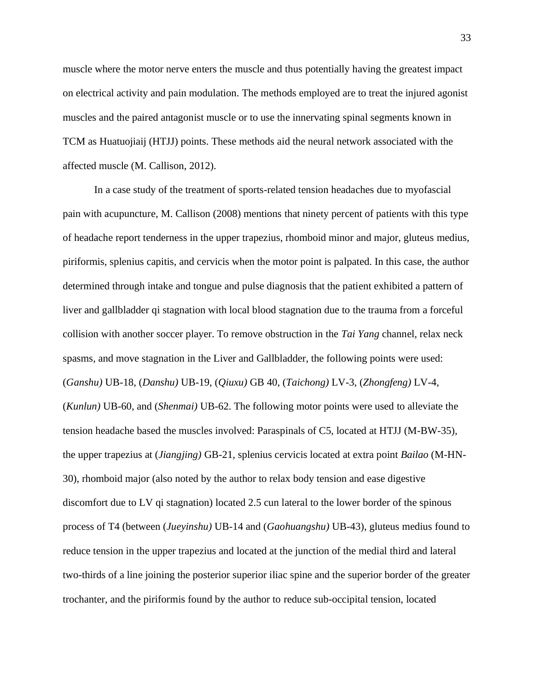muscle where the motor nerve enters the muscle and thus potentially having the greatest impact on electrical activity and pain modulation. The methods employed are to treat the injured agonist muscles and the paired antagonist muscle or to use the innervating spinal segments known in TCM as Huatuojiaij (HTJJ) points. These methods aid the neural network associated with the affected muscle (M. Callison, 2012).

In a case study of the treatment of sports-related tension headaches due to myofascial pain with acupuncture, M. Callison (2008) mentions that ninety percent of patients with this type of headache report tenderness in the upper trapezius, rhomboid minor and major, gluteus medius, piriformis, splenius capitis, and cervicis when the motor point is palpated. In this case, the author determined through intake and tongue and pulse diagnosis that the patient exhibited a pattern of liver and gallbladder qi stagnation with local blood stagnation due to the trauma from a forceful collision with another soccer player. To remove obstruction in the *Tai Yang* channel, relax neck spasms, and move stagnation in the Liver and Gallbladder, the following points were used: (*Ganshu)* UB-18, (*Danshu)* UB-19, (*Qiuxu)* GB 40, (*Taichong)* LV-3, (*Zhongfeng)* LV-4, (*Kunlun)* UB-60, and (*Shenmai)* UB-62. The following motor points were used to alleviate the tension headache based the muscles involved: Paraspinals of C5, located at HTJJ (M-BW-35), the upper trapezius at (*Jiangjing)* GB-21, splenius cervicis located at extra point *Bailao* (M-HN-30), rhomboid major (also noted by the author to relax body tension and ease digestive discomfort due to LV qi stagnation) located 2.5 cun lateral to the lower border of the spinous process of T4 (between (*Jueyinshu)* UB-14 and (*Gaohuangshu)* UB-43), gluteus medius found to reduce tension in the upper trapezius and located at the junction of the medial third and lateral two-thirds of a line joining the posterior superior iliac spine and the superior border of the greater trochanter, and the piriformis found by the author to reduce sub-occipital tension, located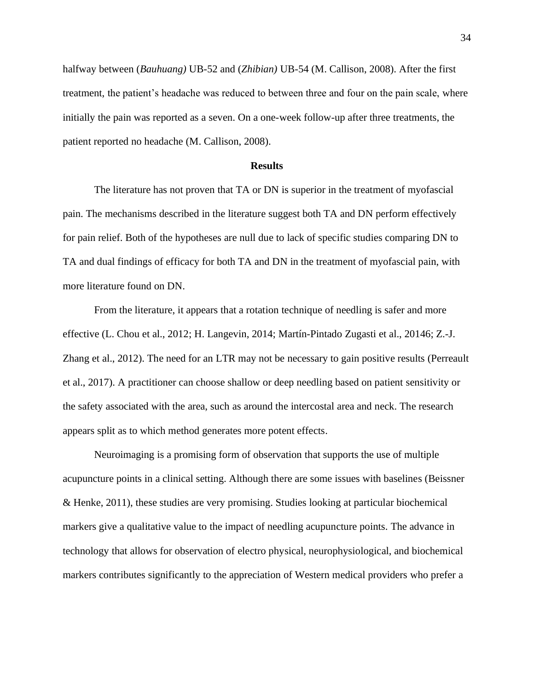halfway between (*Bauhuang)* UB-52 and (*Zhibian)* UB-54 (M. Callison, 2008). After the first treatment, the patient's headache was reduced to between three and four on the pain scale, where initially the pain was reported as a seven. On a one-week follow-up after three treatments, the patient reported no headache (M. Callison, 2008).

#### **Results**

The literature has not proven that TA or DN is superior in the treatment of myofascial pain. The mechanisms described in the literature suggest both TA and DN perform effectively for pain relief. Both of the hypotheses are null due to lack of specific studies comparing DN to TA and dual findings of efficacy for both TA and DN in the treatment of myofascial pain, with more literature found on DN.

From the literature, it appears that a rotation technique of needling is safer and more effective (L. Chou et al., 2012; H. Langevin, 2014; Martín-Pintado Zugasti et al., 20146; Z.-J. Zhang et al., 2012). The need for an LTR may not be necessary to gain positive results (Perreault et al., 2017). A practitioner can choose shallow or deep needling based on patient sensitivity or the safety associated with the area, such as around the intercostal area and neck. The research appears split as to which method generates more potent effects.

Neuroimaging is a promising form of observation that supports the use of multiple acupuncture points in a clinical setting. Although there are some issues with baselines (Beissner & Henke, 2011), these studies are very promising. Studies looking at particular biochemical markers give a qualitative value to the impact of needling acupuncture points. The advance in technology that allows for observation of electro physical, neurophysiological, and biochemical markers contributes significantly to the appreciation of Western medical providers who prefer a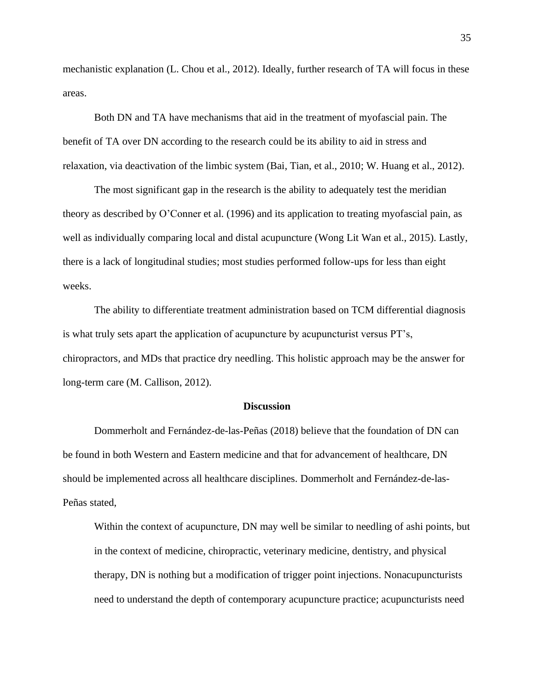mechanistic explanation (L. Chou et al., 2012). Ideally, further research of TA will focus in these areas.

Both DN and TA have mechanisms that aid in the treatment of myofascial pain. The benefit of TA over DN according to the research could be its ability to aid in stress and relaxation, via deactivation of the limbic system (Bai, Tian, et al., 2010; W. Huang et al., 2012).

The most significant gap in the research is the ability to adequately test the meridian theory as described by O'Conner et al. (1996) and its application to treating myofascial pain, as well as individually comparing local and distal acupuncture (Wong Lit Wan et al., 2015). Lastly, there is a lack of longitudinal studies; most studies performed follow-ups for less than eight weeks.

The ability to differentiate treatment administration based on TCM differential diagnosis is what truly sets apart the application of acupuncture by acupuncturist versus PT's, chiropractors, and MDs that practice dry needling. This holistic approach may be the answer for long-term care (M. Callison, 2012).

#### **Discussion**

Dommerholt and Fernández-de-las-Peñas (2018) believe that the foundation of DN can be found in both Western and Eastern medicine and that for advancement of healthcare, DN should be implemented across all healthcare disciplines. Dommerholt and Fernández-de-las-Peñas stated,

Within the context of acupuncture, DN may well be similar to needling of ashi points, but in the context of medicine, chiropractic, veterinary medicine, dentistry, and physical therapy, DN is nothing but a modification of trigger point injections. Nonacupuncturists need to understand the depth of contemporary acupuncture practice; acupuncturists need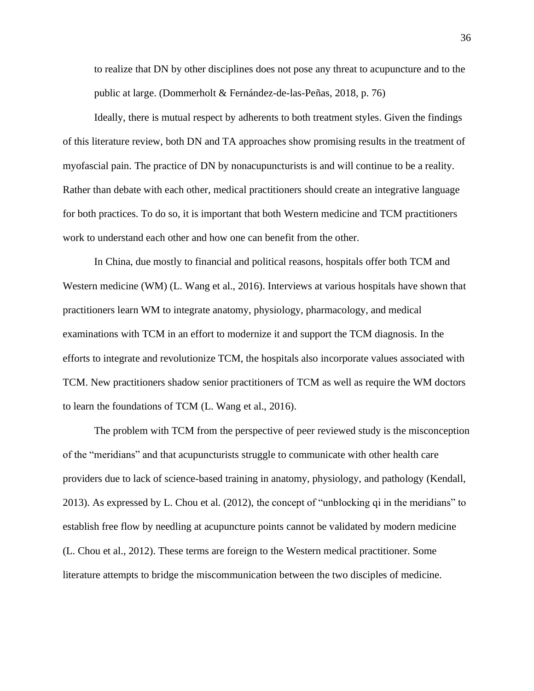to realize that DN by other disciplines does not pose any threat to acupuncture and to the public at large. (Dommerholt & Fernández-de-las-Peñas, 2018, p. 76)

Ideally, there is mutual respect by adherents to both treatment styles. Given the findings of this literature review, both DN and TA approaches show promising results in the treatment of myofascial pain. The practice of DN by nonacupuncturists is and will continue to be a reality. Rather than debate with each other, medical practitioners should create an integrative language for both practices. To do so, it is important that both Western medicine and TCM practitioners work to understand each other and how one can benefit from the other.

In China, due mostly to financial and political reasons, hospitals offer both TCM and Western medicine (WM) (L. Wang et al., 2016). Interviews at various hospitals have shown that practitioners learn WM to integrate anatomy, physiology, pharmacology, and medical examinations with TCM in an effort to modernize it and support the TCM diagnosis. In the efforts to integrate and revolutionize TCM, the hospitals also incorporate values associated with TCM. New practitioners shadow senior practitioners of TCM as well as require the WM doctors to learn the foundations of TCM (L. Wang et al., 2016).

The problem with TCM from the perspective of peer reviewed study is the misconception of the "meridians" and that acupuncturists struggle to communicate with other health care providers due to lack of science-based training in anatomy, physiology, and pathology (Kendall, 2013). As expressed by L. Chou et al. (2012), the concept of "unblocking qi in the meridians" to establish free flow by needling at acupuncture points cannot be validated by modern medicine (L. Chou et al., 2012). These terms are foreign to the Western medical practitioner. Some literature attempts to bridge the miscommunication between the two disciples of medicine.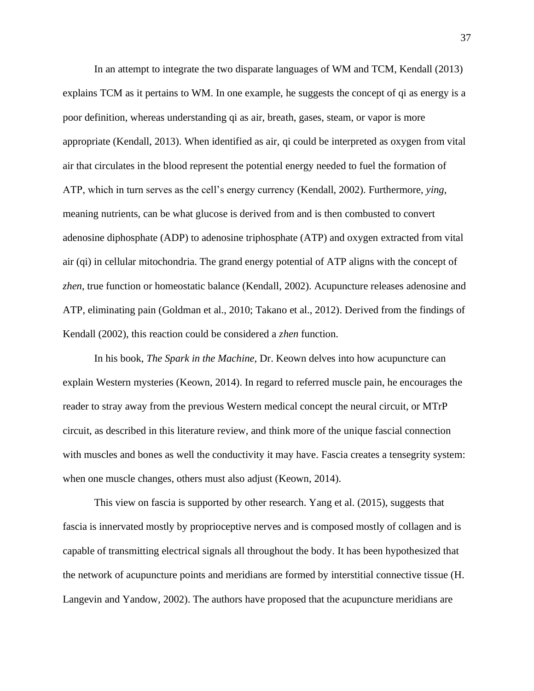In an attempt to integrate the two disparate languages of WM and TCM, Kendall (2013) explains TCM as it pertains to WM. In one example, he suggests the concept of qi as energy is a poor definition, whereas understanding qi as air, breath, gases, steam, or vapor is more appropriate (Kendall, 2013). When identified as air, qi could be interpreted as oxygen from vital air that circulates in the blood represent the potential energy needed to fuel the formation of ATP, which in turn serves as the cell's energy currency (Kendall, 2002). Furthermore, *ying*, meaning nutrients, can be what glucose is derived from and is then combusted to convert adenosine diphosphate (ADP) to adenosine triphosphate (ATP) and oxygen extracted from vital air (qi) in cellular mitochondria. The grand energy potential of ATP aligns with the concept of *zhen*, true function or homeostatic balance (Kendall, 2002). Acupuncture releases adenosine and ATP, eliminating pain (Goldman et al., 2010; Takano et al., 2012). Derived from the findings of Kendall (2002), this reaction could be considered a *zhen* function.

In his book, *The Spark in the Machine,* Dr. Keown delves into how acupuncture can explain Western mysteries (Keown, 2014). In regard to referred muscle pain, he encourages the reader to stray away from the previous Western medical concept the neural circuit, or MTrP circuit, as described in this literature review, and think more of the unique fascial connection with muscles and bones as well the conductivity it may have. Fascia creates a tensegrity system: when one muscle changes, others must also adjust (Keown, 2014).

This view on fascia is supported by other research. Yang et al. (2015), suggests that fascia is innervated mostly by proprioceptive nerves and is composed mostly of collagen and is capable of transmitting electrical signals all throughout the body. It has been hypothesized that the network of acupuncture points and meridians are formed by interstitial connective tissue (H. Langevin and Yandow, 2002). The authors have proposed that the acupuncture meridians are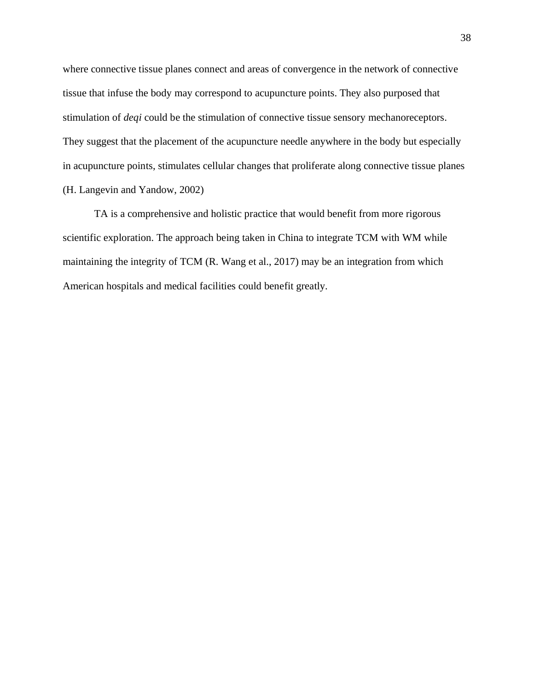where connective tissue planes connect and areas of convergence in the network of connective tissue that infuse the body may correspond to acupuncture points. They also purposed that stimulation of *deqi* could be the stimulation of connective tissue sensory mechanoreceptors. They suggest that the placement of the acupuncture needle anywhere in the body but especially in acupuncture points, stimulates cellular changes that proliferate along connective tissue planes (H. Langevin and Yandow, 2002)

TA is a comprehensive and holistic practice that would benefit from more rigorous scientific exploration. The approach being taken in China to integrate TCM with WM while maintaining the integrity of TCM (R. Wang et al., 2017) may be an integration from which American hospitals and medical facilities could benefit greatly.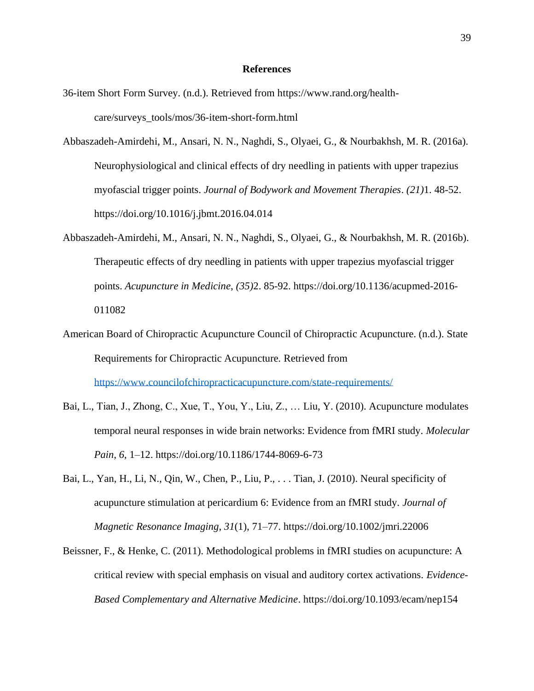#### **References**

- 36-item Short Form Survey. (n.d.). Retrieved from https://www.rand.org/healthcare/surveys\_tools/mos/36-item-short-form.html
- Abbaszadeh-Amirdehi, M., Ansari, N. N., Naghdi, S., Olyaei, G., & Nourbakhsh, M. R. (2016a). Neurophysiological and clinical effects of dry needling in patients with upper trapezius myofascial trigger points. *Journal of Bodywork and Movement Therapies*. *(21)*1. 48-52. https://doi.org/10.1016/j.jbmt.2016.04.014
- Abbaszadeh-Amirdehi, M., Ansari, N. N., Naghdi, S., Olyaei, G., & Nourbakhsh, M. R. (2016b). Therapeutic effects of dry needling in patients with upper trapezius myofascial trigger points. *Acupuncture in Medicine*, *(35)*2. 85-92. https://doi.org/10.1136/acupmed-2016- 011082
- American Board of Chiropractic Acupuncture Council of Chiropractic Acupuncture. (n.d.). State Requirements for Chiropractic Acupuncture*.* Retrieved from <https://www.councilofchiropracticacupuncture.com/state-requirements/>
- Bai, L., Tian, J., Zhong, C., Xue, T., You, Y., Liu, Z., … Liu, Y. (2010). Acupuncture modulates temporal neural responses in wide brain networks: Evidence from fMRI study. *Molecular Pain*, *6*, 1–12. https://doi.org/10.1186/1744-8069-6-73
- Bai, L., Yan, H., Li, N., Qin, W., Chen, P., Liu, P., . . . Tian, J. (2010). Neural specificity of acupuncture stimulation at pericardium 6: Evidence from an fMRI study. *Journal of Magnetic Resonance Imaging*, *31*(1), 71–77. https://doi.org/10.1002/jmri.22006
- Beissner, F., & Henke, C. (2011). Methodological problems in fMRI studies on acupuncture: A critical review with special emphasis on visual and auditory cortex activations. *Evidence-Based Complementary and Alternative Medicine*. https://doi.org/10.1093/ecam/nep154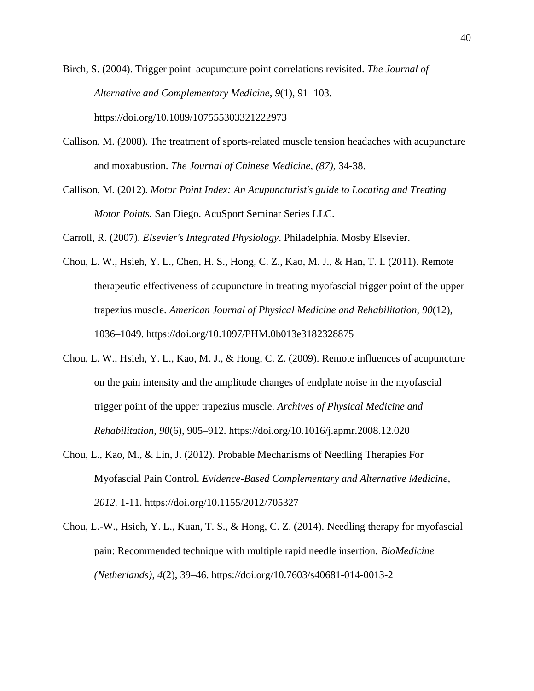Birch, S. (2004). Trigger point–acupuncture point correlations revisited. *The Journal of Alternative and Complementary Medicine*, *9*(1), 91–103. https://doi.org/10.1089/107555303321222973

- Callison, M. (2008). The treatment of sports-related muscle tension headaches with acupuncture and moxabustion. *The Journal of Chinese Medicine, (87),* 34-38.
- Callison, M. (2012). *Motor Point Index: An Acupuncturist's guide to Locating and Treating Motor Points.* San Diego. AcuSport Seminar Series LLC.

Carroll, R. (2007). *Elsevier's Integrated Physiology*. Philadelphia. Mosby Elsevier.

- Chou, L. W., Hsieh, Y. L., Chen, H. S., Hong, C. Z., Kao, M. J., & Han, T. I. (2011). Remote therapeutic effectiveness of acupuncture in treating myofascial trigger point of the upper trapezius muscle. *American Journal of Physical Medicine and Rehabilitation*, *90*(12), 1036–1049. https://doi.org/10.1097/PHM.0b013e3182328875
- Chou, L. W., Hsieh, Y. L., Kao, M. J., & Hong, C. Z. (2009). Remote influences of acupuncture on the pain intensity and the amplitude changes of endplate noise in the myofascial trigger point of the upper trapezius muscle. *Archives of Physical Medicine and Rehabilitation*, *90*(6), 905–912. https://doi.org/10.1016/j.apmr.2008.12.020
- Chou, L., Kao, M., & Lin, J. (2012). Probable Mechanisms of Needling Therapies For Myofascial Pain Control. *Evidence-Based Complementary and Alternative Medicine, 2012.* 1-11. https://doi.org/10.1155/2012/705327
- Chou, L.-W., Hsieh, Y. L., Kuan, T. S., & Hong, C. Z. (2014). Needling therapy for myofascial pain: Recommended technique with multiple rapid needle insertion. *BioMedicine (Netherlands)*, *4*(2), 39–46. https://doi.org/10.7603/s40681-014-0013-2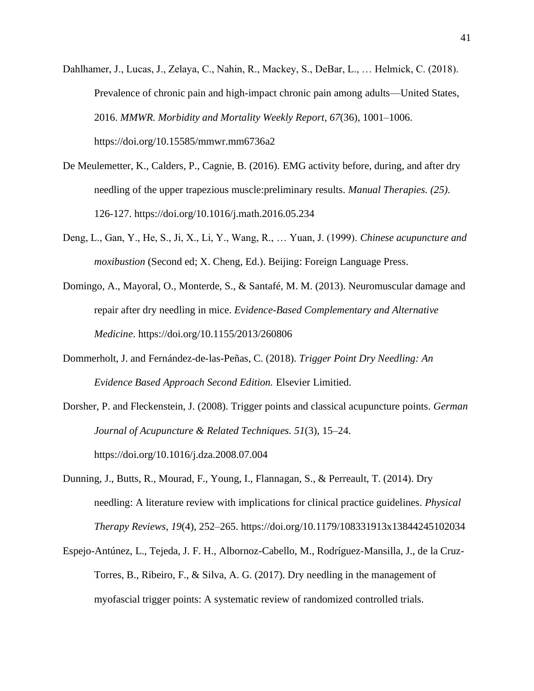- Dahlhamer, J., Lucas, J., Zelaya, C., Nahin, R., Mackey, S., DeBar, L., … Helmick, C. (2018). Prevalence of chronic pain and high-impact chronic pain among adults—United States, 2016. *MMWR. Morbidity and Mortality Weekly Report*, *67*(36), 1001–1006. https://doi.org/10.15585/mmwr.mm6736a2
- De Meulemetter, K., Calders, P., Cagnie, B. (2016). EMG activity before, during, and after dry needling of the upper trapezious muscle:preliminary results. *Manual Therapies. (25).*  126-127. https://doi.org/10.1016/j.math.2016.05.234
- Deng, L., Gan, Y., He, S., Ji, X., Li, Y., Wang, R., … Yuan, J. (1999). *Chinese acupuncture and moxibustion* (Second ed; X. Cheng, Ed.). Beijing: Foreign Language Press.
- Domingo, A., Mayoral, O., Monterde, S., & Santafé, M. M. (2013). Neuromuscular damage and repair after dry needling in mice. *Evidence-Based Complementary and Alternative Medicine*. https://doi.org/10.1155/2013/260806
- Dommerholt, J. and Fernández-de-las-Peñas, C. (2018). *Trigger Point Dry Needling: An Evidence Based Approach Second Edition.* Elsevier Limitied.
- Dorsher, P. and Fleckenstein, J. (2008). Trigger points and classical acupuncture points. *German Journal of Acupuncture & Related Techniques. 51*(3), 15–24. https://doi.org/10.1016/j.dza.2008.07.004
- Dunning, J., Butts, R., Mourad, F., Young, I., Flannagan, S., & Perreault, T. (2014). Dry needling: A literature review with implications for clinical practice guidelines. *Physical Therapy Reviews*, *19*(4), 252–265. https://doi.org/10.1179/108331913x13844245102034
- Espejo-Antúnez, L., Tejeda, J. F. H., Albornoz-Cabello, M., Rodríguez-Mansilla, J., de la Cruz-Torres, B., Ribeiro, F., & Silva, A. G. (2017). Dry needling in the management of myofascial trigger points: A systematic review of randomized controlled trials.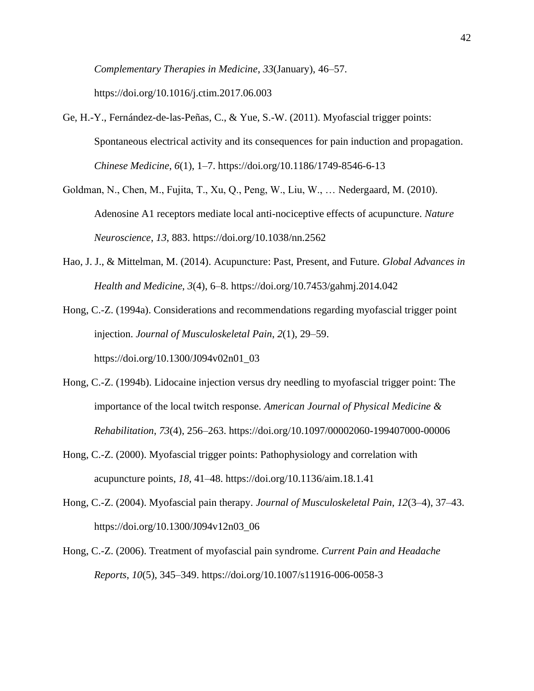*Complementary Therapies in Medicine*, *33*(January), 46–57. https://doi.org/10.1016/j.ctim.2017.06.003

- Ge, H.-Y., Fernández-de-las-Peñas, C., & Yue, S.-W. (2011). Myofascial trigger points: Spontaneous electrical activity and its consequences for pain induction and propagation. *Chinese Medicine*, *6*(1), 1–7. https://doi.org/10.1186/1749-8546-6-13
- Goldman, N., Chen, M., Fujita, T., Xu, Q., Peng, W., Liu, W., … Nedergaard, M. (2010). Adenosine A1 receptors mediate local anti-nociceptive effects of acupuncture. *Nature Neuroscience*, *13*, 883. https://doi.org/10.1038/nn.2562
- Hao, J. J., & Mittelman, M. (2014). Acupuncture: Past, Present, and Future. *Global Advances in Health and Medicine*, *3*(4), 6–8. https://doi.org/10.7453/gahmj.2014.042

Hong, C.-Z. (1994a). Considerations and recommendations regarding myofascial trigger point injection. *Journal of Musculoskeletal Pain*, *2*(1), 29–59. https://doi.org/10.1300/J094v02n01\_03

- Hong, C.-Z. (1994b). Lidocaine injection versus dry needling to myofascial trigger point: The importance of the local twitch response. *American Journal of Physical Medicine & Rehabilitation*, *73*(4), 256–263. https://doi.org/10.1097/00002060-199407000-00006
- Hong, C.-Z. (2000). Myofascial trigger points: Pathophysiology and correlation with acupuncture points, *18*, 41–48. https://doi.org/10.1136/aim.18.1.41
- Hong, C.-Z. (2004). Myofascial pain therapy. *Journal of Musculoskeletal Pain*, *12*(3–4), 37–43. https://doi.org/10.1300/J094v12n03\_06
- Hong, C.-Z. (2006). Treatment of myofascial pain syndrome. *Current Pain and Headache Reports*, *10*(5), 345–349. https://doi.org/10.1007/s11916-006-0058-3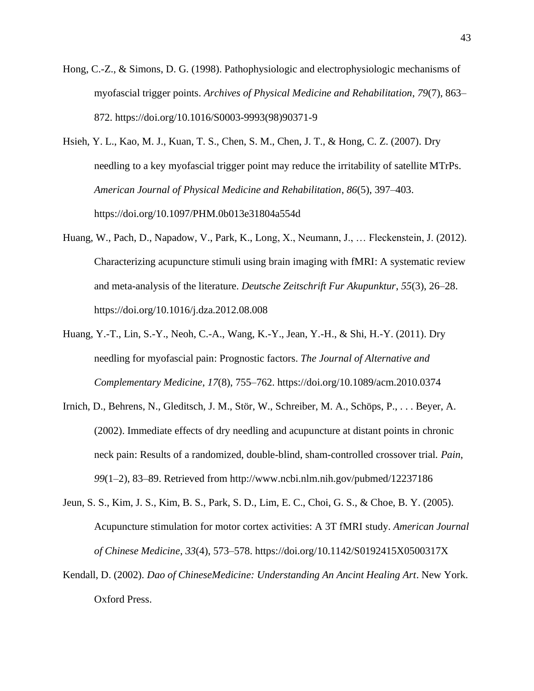- Hong, C.-Z., & Simons, D. G. (1998). Pathophysiologic and electrophysiologic mechanisms of myofascial trigger points. *Archives of Physical Medicine and Rehabilitation*, *79*(7), 863– 872. https://doi.org/10.1016/S0003-9993(98)90371-9
- Hsieh, Y. L., Kao, M. J., Kuan, T. S., Chen, S. M., Chen, J. T., & Hong, C. Z. (2007). Dry needling to a key myofascial trigger point may reduce the irritability of satellite MTrPs. *American Journal of Physical Medicine and Rehabilitation*, *86*(5), 397–403. https://doi.org/10.1097/PHM.0b013e31804a554d
- Huang, W., Pach, D., Napadow, V., Park, K., Long, X., Neumann, J., … Fleckenstein, J. (2012). Characterizing acupuncture stimuli using brain imaging with fMRI: A systematic review and meta-analysis of the literature. *Deutsche Zeitschrift Fur Akupunktur*, *55*(3), 26–28. https://doi.org/10.1016/j.dza.2012.08.008
- Huang, Y.-T., Lin, S.-Y., Neoh, C.-A., Wang, K.-Y., Jean, Y.-H., & Shi, H.-Y. (2011). Dry needling for myofascial pain: Prognostic factors. *The Journal of Alternative and Complementary Medicine*, *17*(8), 755–762. https://doi.org/10.1089/acm.2010.0374
- Irnich, D., Behrens, N., Gleditsch, J. M., Stör, W., Schreiber, M. A., Schöps, P., . . . Beyer, A. (2002). Immediate effects of dry needling and acupuncture at distant points in chronic neck pain: Results of a randomized, double-blind, sham-controlled crossover trial. *Pain*, *99*(1–2), 83–89. Retrieved from http://www.ncbi.nlm.nih.gov/pubmed/12237186
- Jeun, S. S., Kim, J. S., Kim, B. S., Park, S. D., Lim, E. C., Choi, G. S., & Choe, B. Y. (2005). Acupuncture stimulation for motor cortex activities: A 3T fMRI study. *American Journal of Chinese Medicine*, *33*(4), 573–578. https://doi.org/10.1142/S0192415X0500317X
- Kendall, D. (2002). *Dao of ChineseMedicine: Understanding An Ancint Healing Art*. New York. Oxford Press.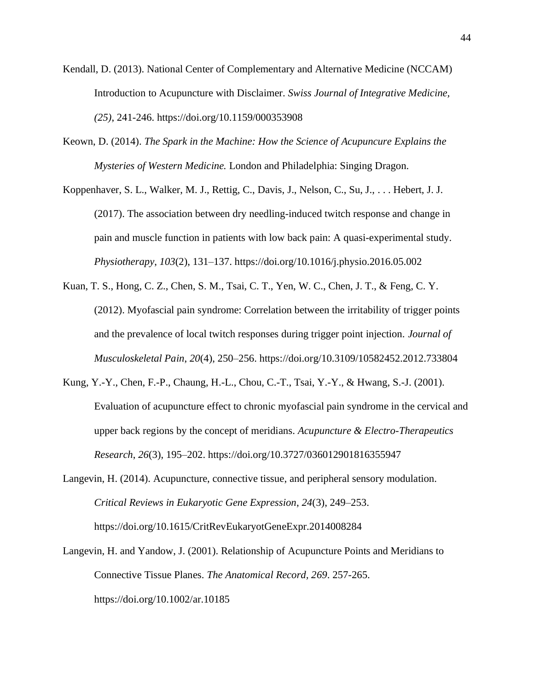- Kendall, D. (2013). National Center of Complementary and Alternative Medicine (NCCAM) Introduction to Acupuncture with Disclaimer. *Swiss Journal of Integrative Medicine, (25)*, 241-246. https://doi.org/10.1159/000353908
- Keown, D. (2014). *The Spark in the Machine: How the Science of Acupuncure Explains the Mysteries of Western Medicine.* London and Philadelphia: Singing Dragon.
- Koppenhaver, S. L., Walker, M. J., Rettig, C., Davis, J., Nelson, C., Su, J., . . . Hebert, J. J. (2017). The association between dry needling-induced twitch response and change in pain and muscle function in patients with low back pain: A quasi-experimental study. *Physiotherapy*, *103*(2), 131–137. https://doi.org/10.1016/j.physio.2016.05.002
- Kuan, T. S., Hong, C. Z., Chen, S. M., Tsai, C. T., Yen, W. C., Chen, J. T., & Feng, C. Y. (2012). Myofascial pain syndrome: Correlation between the irritability of trigger points and the prevalence of local twitch responses during trigger point injection. *Journal of Musculoskeletal Pain*, *20*(4), 250–256. https://doi.org/10.3109/10582452.2012.733804
- Kung, Y.-Y., Chen, F.-P., Chaung, H.-L., Chou, C.-T., Tsai, Y.-Y., & Hwang, S.-J. (2001). Evaluation of acupuncture effect to chronic myofascial pain syndrome in the cervical and upper back regions by the concept of meridians. *Acupuncture & Electro-Therapeutics Research*, *26*(3), 195–202. https://doi.org/10.3727/036012901816355947
- Langevin, H. (2014). Acupuncture, connective tissue, and peripheral sensory modulation. *Critical Reviews in Eukaryotic Gene Expression*, *24*(3), 249–253. https://doi.org/10.1615/CritRevEukaryotGeneExpr.2014008284
- Langevin, H. and Yandow, J. (2001). Relationship of Acupuncture Points and Meridians to Connective Tissue Planes. *The Anatomical Record, 269*. 257-265. https://doi.org/10.1002/ar.10185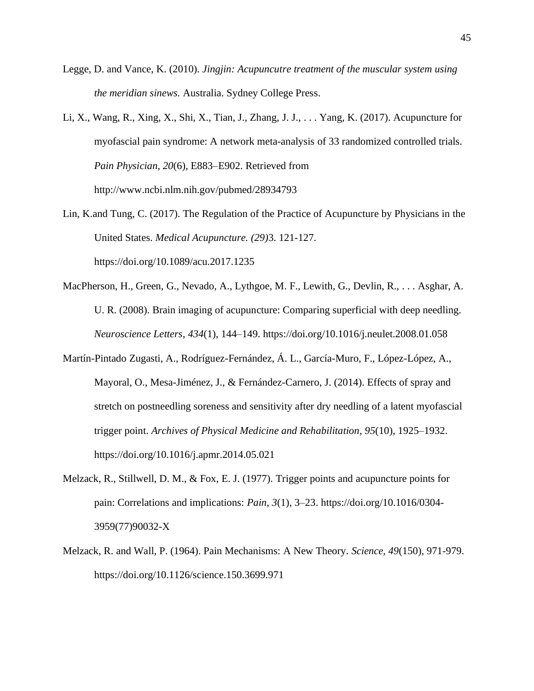- Legge, D. and Vance, K. (2010). *Jingjin: Acupuncutre treatment of the muscular system using the meridian sinews.* Australia. Sydney College Press.
- Li, X., Wang, R., Xing, X., Shi, X., Tian, J., Zhang, J. J., . . . Yang, K. (2017). Acupuncture for myofascial pain syndrome: A network meta-analysis of 33 randomized controlled trials. *Pain Physician*, *20*(6), E883–E902. Retrieved from http://www.ncbi.nlm.nih.gov/pubmed/28934793
- Lin, K.and Tung, C. (2017). The Regulation of the Practice of Acupuncture by Physicians in the United States. *Medical Acupuncture. (29)*3. 121-127. https://doi.org/10.1089/acu.2017.1235
- MacPherson, H., Green, G., Nevado, A., Lythgoe, M. F., Lewith, G., Devlin, R., . . . Asghar, A. U. R. (2008). Brain imaging of acupuncture: Comparing superficial with deep needling. *Neuroscience Letters*, *434*(1), 144–149. https://doi.org/10.1016/j.neulet.2008.01.058
- Martín-Pintado Zugasti, A., Rodríguez-Fernández, Á. L., García-Muro, F., López-López, A., Mayoral, O., Mesa-Jiménez, J., & Fernández-Carnero, J. (2014). Effects of spray and stretch on postneedling soreness and sensitivity after dry needling of a latent myofascial trigger point. *Archives of Physical Medicine and Rehabilitation*, *95*(10), 1925–1932. https://doi.org/10.1016/j.apmr.2014.05.021
- Melzack, R., Stillwell, D. M., & Fox, E. J. (1977). Trigger points and acupuncture points for pain: Correlations and implications: *Pain*, *3*(1), 3–23. https://doi.org/10.1016/0304- 3959(77)90032-X
- Melzack, R. and Wall, P. (1964). Pain Mechanisms: A New Theory. *Science, 49*(150), 971-979. https://doi.org/10.1126/science.150.3699.971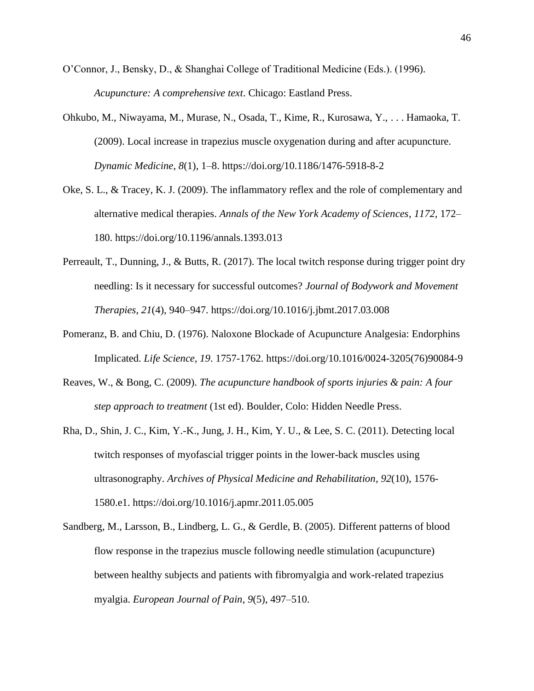- O'Connor, J., Bensky, D., & Shanghai College of Traditional Medicine (Eds.). (1996). *Acupuncture: A comprehensive text*. Chicago: Eastland Press.
- Ohkubo, M., Niwayama, M., Murase, N., Osada, T., Kime, R., Kurosawa, Y., . . . Hamaoka, T. (2009). Local increase in trapezius muscle oxygenation during and after acupuncture. *Dynamic Medicine*, *8*(1), 1–8. https://doi.org/10.1186/1476-5918-8-2
- Oke, S. L., & Tracey, K. J. (2009). The inflammatory reflex and the role of complementary and alternative medical therapies. *Annals of the New York Academy of Sciences*, *1172*, 172– 180. https://doi.org/10.1196/annals.1393.013
- Perreault, T., Dunning, J., & Butts, R. (2017). The local twitch response during trigger point dry needling: Is it necessary for successful outcomes? *Journal of Bodywork and Movement Therapies*, *21*(4), 940–947. https://doi.org/10.1016/j.jbmt.2017.03.008
- Pomeranz, B. and Chiu, D. (1976). Naloxone Blockade of Acupuncture Analgesia: Endorphins Implicated. *Life Science, 19*. 1757-1762. https://doi.org/10.1016/0024-3205(76)90084-9
- Reaves, W., & Bong, C. (2009). *The acupuncture handbook of sports injuries & pain: A four step approach to treatment* (1st ed). Boulder, Colo: Hidden Needle Press.
- Rha, D., Shin, J. C., Kim, Y.-K., Jung, J. H., Kim, Y. U., & Lee, S. C. (2011). Detecting local twitch responses of myofascial trigger points in the lower-back muscles using ultrasonography. *Archives of Physical Medicine and Rehabilitation*, *92*(10), 1576- 1580.e1. https://doi.org/10.1016/j.apmr.2011.05.005
- Sandberg, M., Larsson, B., Lindberg, L. G., & Gerdle, B. (2005). Different patterns of blood flow response in the trapezius muscle following needle stimulation (acupuncture) between healthy subjects and patients with fibromyalgia and work-related trapezius myalgia. *European Journal of Pain*, *9*(5), 497–510.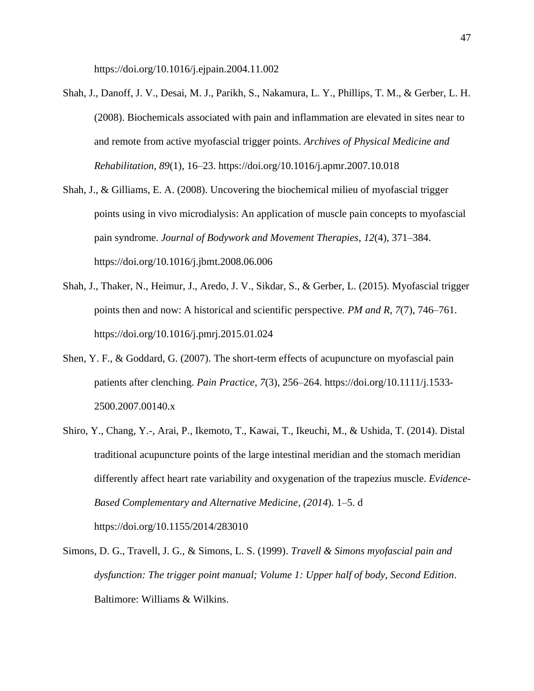https://doi.org/10.1016/j.ejpain.2004.11.002

- Shah, J., Danoff, J. V., Desai, M. J., Parikh, S., Nakamura, L. Y., Phillips, T. M., & Gerber, L. H. (2008). Biochemicals associated with pain and inflammation are elevated in sites near to and remote from active myofascial trigger points. *Archives of Physical Medicine and Rehabilitation*, *89*(1), 16–23. https://doi.org/10.1016/j.apmr.2007.10.018
- Shah, J., & Gilliams, E. A. (2008). Uncovering the biochemical milieu of myofascial trigger points using in vivo microdialysis: An application of muscle pain concepts to myofascial pain syndrome. *Journal of Bodywork and Movement Therapies*, *12*(4), 371–384. https://doi.org/10.1016/j.jbmt.2008.06.006
- Shah, J., Thaker, N., Heimur, J., Aredo, J. V., Sikdar, S., & Gerber, L. (2015). Myofascial trigger points then and now: A historical and scientific perspective. *PM and R*, *7*(7), 746–761. https://doi.org/10.1016/j.pmrj.2015.01.024
- Shen, Y. F., & Goddard, G. (2007). The short-term effects of acupuncture on myofascial pain patients after clenching. *Pain Practice*, *7*(3), 256–264. https://doi.org/10.1111/j.1533- 2500.2007.00140.x
- Shiro, Y., Chang, Y.-, Arai, P., Ikemoto, T., Kawai, T., Ikeuchi, M., & Ushida, T. (2014). Distal traditional acupuncture points of the large intestinal meridian and the stomach meridian differently affect heart rate variability and oxygenation of the trapezius muscle. *Evidence-Based Complementary and Alternative Medicine, (2014*). 1–5. d https://doi.org/10.1155/2014/283010
- Simons, D. G., Travell, J. G., & Simons, L. S. (1999). *Travell & Simons myofascial pain and dysfunction: The trigger point manual; Volume 1: Upper half of body, Second Edition*. Baltimore: Williams & Wilkins.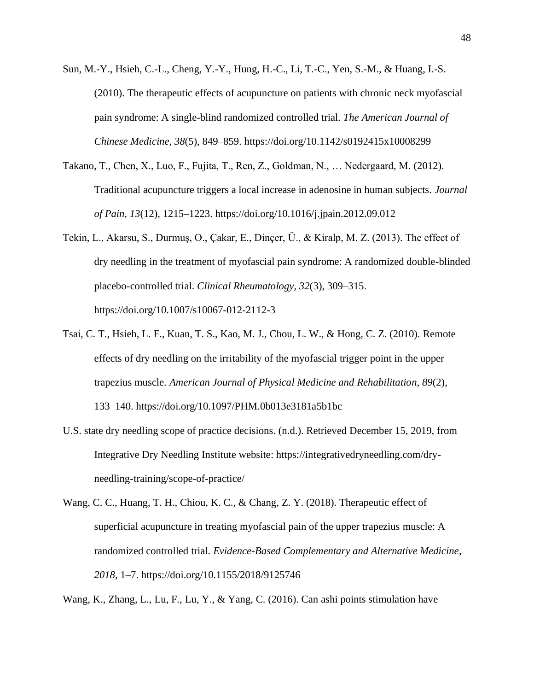- Sun, M.-Y., Hsieh, C.-L., Cheng, Y.-Y., Hung, H.-C., Li, T.-C., Yen, S.-M., & Huang, I.-S. (2010). The therapeutic effects of acupuncture on patients with chronic neck myofascial pain syndrome: A single-blind randomized controlled trial. *The American Journal of Chinese Medicine*, *38*(5), 849–859. https://doi.org/10.1142/s0192415x10008299
- Takano, T., Chen, X., Luo, F., Fujita, T., Ren, Z., Goldman, N., … Nedergaard, M. (2012). Traditional acupuncture triggers a local increase in adenosine in human subjects. *Journal of Pain*, *13*(12), 1215–1223. https://doi.org/10.1016/j.jpain.2012.09.012
- Tekin, L., Akarsu, S., Durmuş, O., Çakar, E., Dinçer, Ü., & Kiralp, M. Z. (2013). The effect of dry needling in the treatment of myofascial pain syndrome: A randomized double-blinded placebo-controlled trial. *Clinical Rheumatology*, *32*(3), 309–315. https://doi.org/10.1007/s10067-012-2112-3
- Tsai, C. T., Hsieh, L. F., Kuan, T. S., Kao, M. J., Chou, L. W., & Hong, C. Z. (2010). Remote effects of dry needling on the irritability of the myofascial trigger point in the upper trapezius muscle. *American Journal of Physical Medicine and Rehabilitation*, *89*(2), 133–140. https://doi.org/10.1097/PHM.0b013e3181a5b1bc
- U.S. state dry needling scope of practice decisions. (n.d.). Retrieved December 15, 2019, from Integrative Dry Needling Institute website: https://integrativedryneedling.com/dryneedling-training/scope-of-practice/
- Wang, C. C., Huang, T. H., Chiou, K. C., & Chang, Z. Y. (2018). Therapeutic effect of superficial acupuncture in treating myofascial pain of the upper trapezius muscle: A randomized controlled trial. *Evidence-Based Complementary and Alternative Medicine*, *2018*, 1–7. https://doi.org/10.1155/2018/9125746

Wang, K., Zhang, L., Lu, F., Lu, Y., & Yang, C. (2016). Can ashi points stimulation have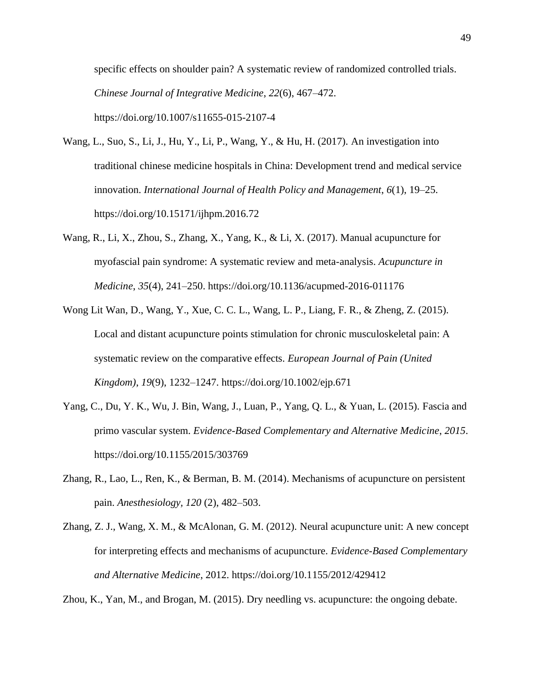specific effects on shoulder pain? A systematic review of randomized controlled trials. *Chinese Journal of Integrative Medicine*, *22*(6), 467–472. https://doi.org/10.1007/s11655-015-2107-4

- Wang, L., Suo, S., Li, J., Hu, Y., Li, P., Wang, Y., & Hu, H. (2017). An investigation into traditional chinese medicine hospitals in China: Development trend and medical service innovation. *International Journal of Health Policy and Management*, *6*(1), 19–25. https://doi.org/10.15171/ijhpm.2016.72
- Wang, R., Li, X., Zhou, S., Zhang, X., Yang, K., & Li, X. (2017). Manual acupuncture for myofascial pain syndrome: A systematic review and meta-analysis. *Acupuncture in Medicine*, *35*(4), 241–250. https://doi.org/10.1136/acupmed-2016-011176
- Wong Lit Wan, D., Wang, Y., Xue, C. C. L., Wang, L. P., Liang, F. R., & Zheng, Z. (2015). Local and distant acupuncture points stimulation for chronic musculoskeletal pain: A systematic review on the comparative effects. *European Journal of Pain (United Kingdom)*, *19*(9), 1232–1247. https://doi.org/10.1002/ejp.671
- Yang, C., Du, Y. K., Wu, J. Bin, Wang, J., Luan, P., Yang, Q. L., & Yuan, L. (2015). Fascia and primo vascular system. *Evidence-Based Complementary and Alternative Medicine*, *2015*. https://doi.org/10.1155/2015/303769
- Zhang, R., Lao, L., Ren, K., & Berman, B. M. (2014). Mechanisms of acupuncture on persistent pain. *Anesthesiology, 120* (2), 482–503.
- Zhang, Z. J., Wang, X. M., & McAlonan, G. M. (2012). Neural acupuncture unit: A new concept for interpreting effects and mechanisms of acupuncture. *Evidence-Based Complementary and Alternative Medicine*, 2012. https://doi.org/10.1155/2012/429412

Zhou, K., Yan, M., and Brogan, M. (2015). Dry needling vs. acupuncture: the ongoing debate.